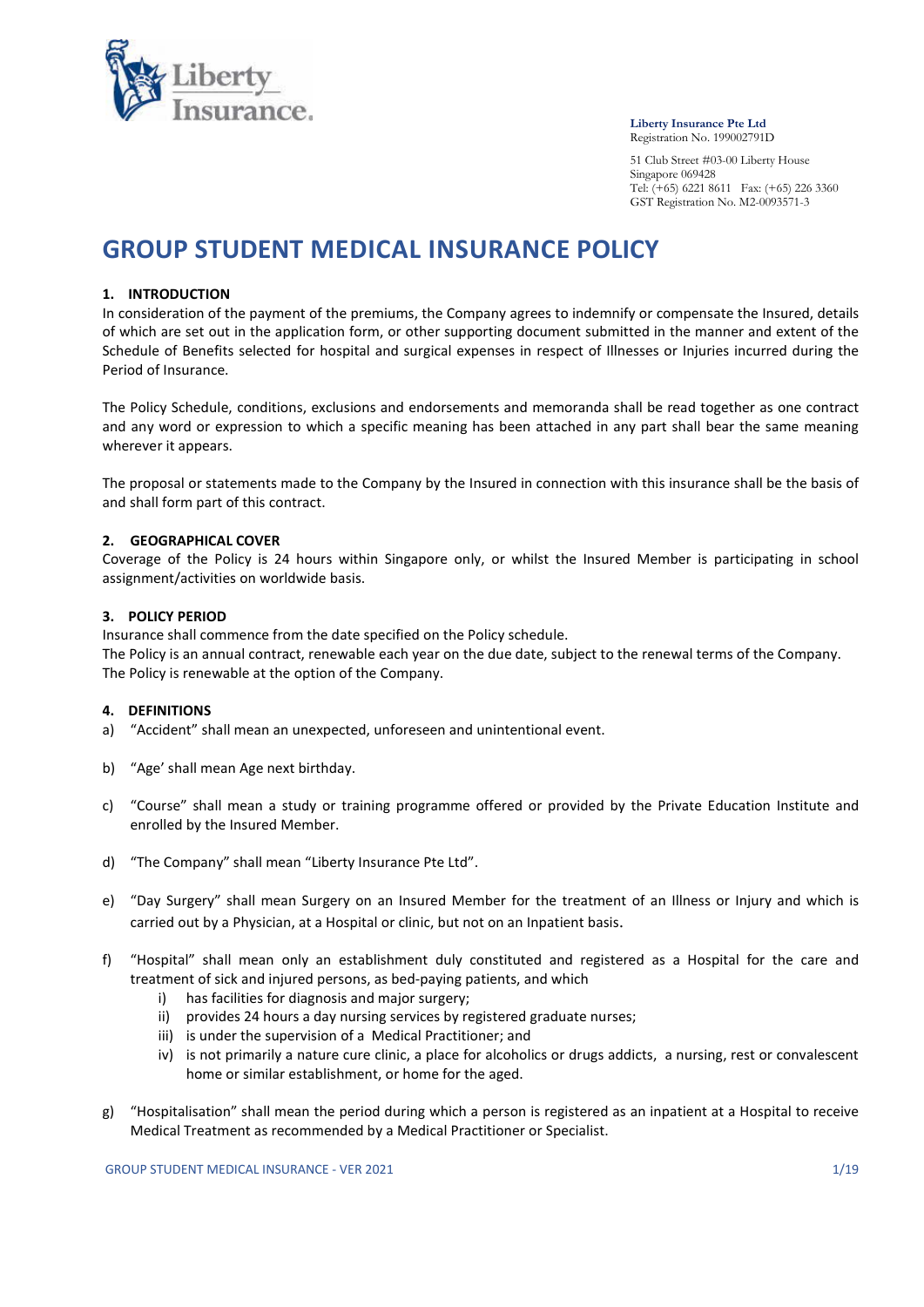

#### Liberty Insurance Pte Ltd Registration No. 199002791D

 51 Club Street #03-00 Liberty House Singapore 069428 Tel:  $(+65)$  6221 8611 Fax:  $(+65)$  226 3360 GST Registration No. M2-0093571-3

# GROUP STUDENT MEDICAL INSURANCE POLICY

## 1. INTRODUCTION

In consideration of the payment of the premiums, the Company agrees to indemnify or compensate the Insured, details of which are set out in the application form, or other supporting document submitted in the manner and extent of the Schedule of Benefits selected for hospital and surgical expenses in respect of Illnesses or Injuries incurred during the Period of Insurance.

The Policy Schedule, conditions, exclusions and endorsements and memoranda shall be read together as one contract and any word or expression to which a specific meaning has been attached in any part shall bear the same meaning wherever it appears.

The proposal or statements made to the Company by the Insured in connection with this insurance shall be the basis of and shall form part of this contract.

## 2. GEOGRAPHICAL COVER

Coverage of the Policy is 24 hours within Singapore only, or whilst the Insured Member is participating in school assignment/activities on worldwide basis.

## 3. POLICY PERIOD

Insurance shall commence from the date specified on the Policy schedule.

The Policy is an annual contract, renewable each year on the due date, subject to the renewal terms of the Company. The Policy is renewable at the option of the Company.

## 4. DEFINITIONS

- a) "Accident" shall mean an unexpected, unforeseen and unintentional event.
- b) "Age' shall mean Age next birthday.
- c) "Course" shall mean a study or training programme offered or provided by the Private Education Institute and enrolled by the Insured Member.
- d) "The Company" shall mean "Liberty Insurance Pte Ltd".
- e) "Day Surgery" shall mean Surgery on an Insured Member for the treatment of an Illness or Injury and which is carried out by a Physician, at a Hospital or clinic, but not on an Inpatient basis.
- f) "Hospital" shall mean only an establishment duly constituted and registered as a Hospital for the care and treatment of sick and injured persons, as bed-paying patients, and which
	- i) has facilities for diagnosis and major surgery;
	- ii) provides 24 hours a day nursing services by registered graduate nurses;
	- iii) is under the supervision of a Medical Practitioner; and
	- iv) is not primarily a nature cure clinic, a place for alcoholics or drugs addicts, a nursing, rest or convalescent home or similar establishment, or home for the aged.
- g) "Hospitalisation" shall mean the period during which a person is registered as an inpatient at a Hospital to receive Medical Treatment as recommended by a Medical Practitioner or Specialist.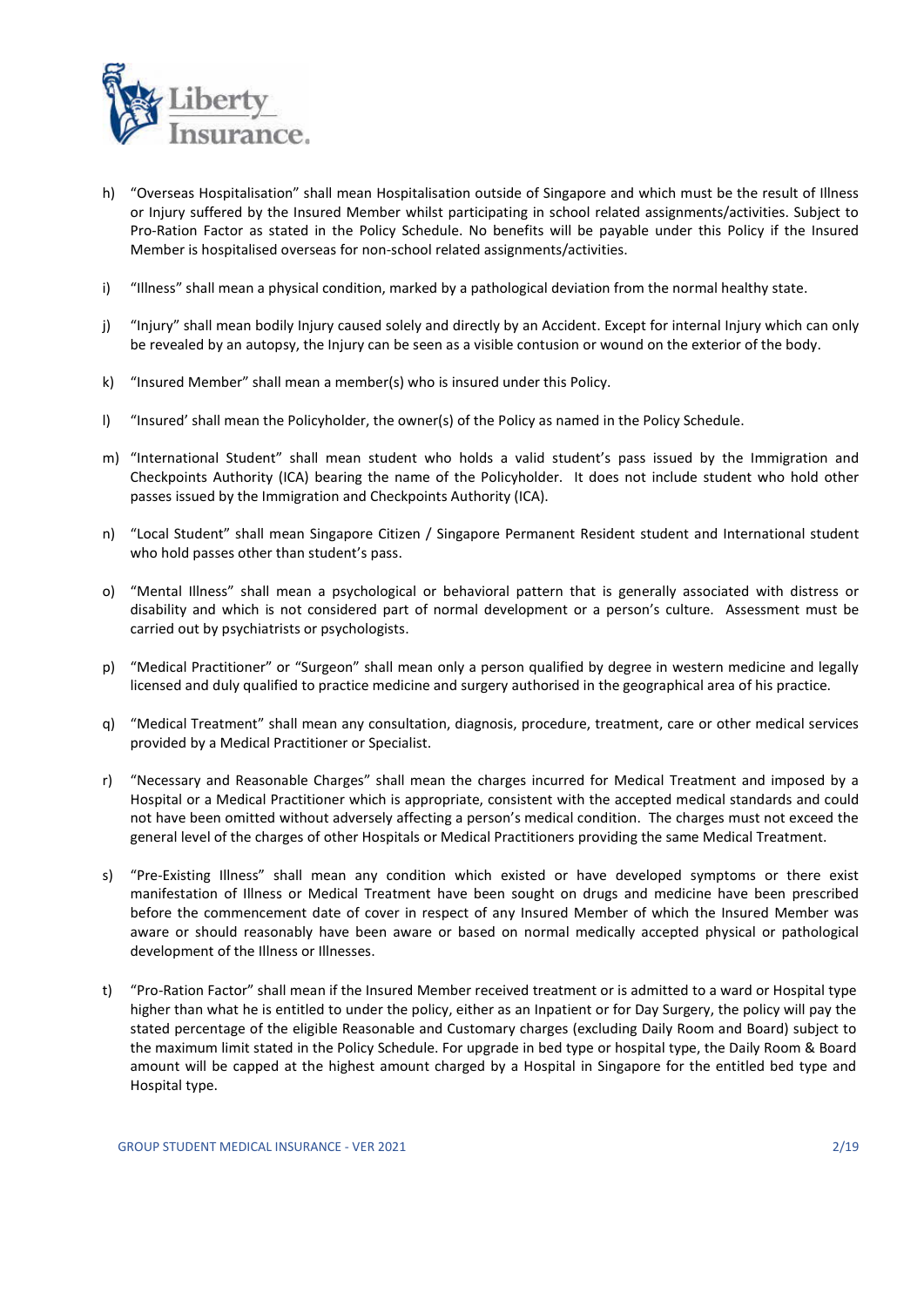

- h) "Overseas Hospitalisation" shall mean Hospitalisation outside of Singapore and which must be the result of Illness or Injury suffered by the Insured Member whilst participating in school related assignments/activities. Subject to Pro-Ration Factor as stated in the Policy Schedule. No benefits will be payable under this Policy if the Insured Member is hospitalised overseas for non-school related assignments/activities.
- i) "Illness" shall mean a physical condition, marked by a pathological deviation from the normal healthy state.
- j) "Injury" shall mean bodily Injury caused solely and directly by an Accident. Except for internal Injury which can only be revealed by an autopsy, the Injury can be seen as a visible contusion or wound on the exterior of the body.
- k) "Insured Member" shall mean a member(s) who is insured under this Policy.
- l) "Insured' shall mean the Policyholder, the owner(s) of the Policy as named in the Policy Schedule.
- m) "International Student" shall mean student who holds a valid student's pass issued by the Immigration and Checkpoints Authority (ICA) bearing the name of the Policyholder. It does not include student who hold other passes issued by the Immigration and Checkpoints Authority (ICA).
- n) "Local Student" shall mean Singapore Citizen / Singapore Permanent Resident student and International student who hold passes other than student's pass.
- o) "Mental Illness" shall mean a psychological or behavioral pattern that is generally associated with distress or disability and which is not considered part of normal development or a person's culture. Assessment must be carried out by psychiatrists or psychologists.
- p) "Medical Practitioner" or "Surgeon" shall mean only a person qualified by degree in western medicine and legally licensed and duly qualified to practice medicine and surgery authorised in the geographical area of his practice.
- q) "Medical Treatment" shall mean any consultation, diagnosis, procedure, treatment, care or other medical services provided by a Medical Practitioner or Specialist.
- r) "Necessary and Reasonable Charges" shall mean the charges incurred for Medical Treatment and imposed by a Hospital or a Medical Practitioner which is appropriate, consistent with the accepted medical standards and could not have been omitted without adversely affecting a person's medical condition. The charges must not exceed the general level of the charges of other Hospitals or Medical Practitioners providing the same Medical Treatment.
- s) "Pre-Existing Illness" shall mean any condition which existed or have developed symptoms or there exist manifestation of Illness or Medical Treatment have been sought on drugs and medicine have been prescribed before the commencement date of cover in respect of any Insured Member of which the Insured Member was aware or should reasonably have been aware or based on normal medically accepted physical or pathological development of the Illness or Illnesses.
- t) "Pro-Ration Factor" shall mean if the Insured Member received treatment or is admitted to a ward or Hospital type higher than what he is entitled to under the policy, either as an Inpatient or for Day Surgery, the policy will pay the stated percentage of the eligible Reasonable and Customary charges (excluding Daily Room and Board) subject to the maximum limit stated in the Policy Schedule. For upgrade in bed type or hospital type, the Daily Room & Board amount will be capped at the highest amount charged by a Hospital in Singapore for the entitled bed type and Hospital type.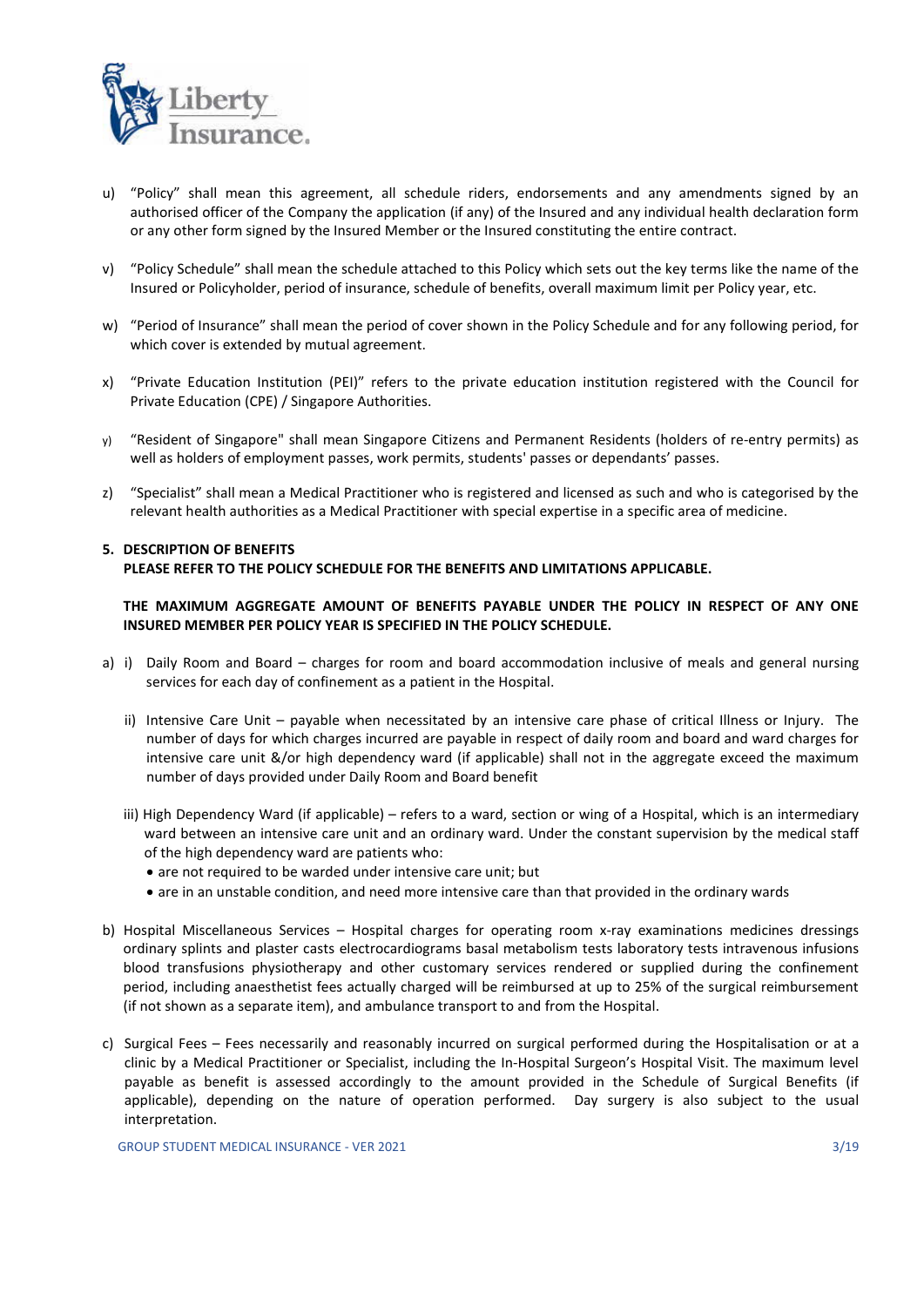

- u) "Policy" shall mean this agreement, all schedule riders, endorsements and any amendments signed by an authorised officer of the Company the application (if any) of the Insured and any individual health declaration form or any other form signed by the Insured Member or the Insured constituting the entire contract.
- v) "Policy Schedule" shall mean the schedule attached to this Policy which sets out the key terms like the name of the Insured or Policyholder, period of insurance, schedule of benefits, overall maximum limit per Policy year, etc.
- w) "Period of Insurance" shall mean the period of cover shown in the Policy Schedule and for any following period, for which cover is extended by mutual agreement.
- x) "Private Education Institution (PEI)" refers to the private education institution registered with the Council for Private Education (CPE) / Singapore Authorities.
- y) "Resident of Singapore" shall mean Singapore Citizens and Permanent Residents (holders of re-entry permits) as well as holders of employment passes, work permits, students' passes or dependants' passes.
- z) "Specialist" shall mean a Medical Practitioner who is registered and licensed as such and who is categorised by the relevant health authorities as a Medical Practitioner with special expertise in a specific area of medicine.

## 5. DESCRIPTION OF BENEFITS PLEASE REFER TO THE POLICY SCHEDULE FOR THE BENEFITS AND LIMITATIONS APPLICABLE.

## THE MAXIMUM AGGREGATE AMOUNT OF BENEFITS PAYABLE UNDER THE POLICY IN RESPECT OF ANY ONE INSURED MEMBER PER POLICY YEAR IS SPECIFIED IN THE POLICY SCHEDULE.

- a) i) Daily Room and Board charges for room and board accommodation inclusive of meals and general nursing services for each day of confinement as a patient in the Hospital.
	- ii) Intensive Care Unit payable when necessitated by an intensive care phase of critical Illness or Injury. The number of days for which charges incurred are payable in respect of daily room and board and ward charges for intensive care unit &/or high dependency ward (if applicable) shall not in the aggregate exceed the maximum number of days provided under Daily Room and Board benefit
	- iii) High Dependency Ward (if applicable) refers to a ward, section or wing of a Hospital, which is an intermediary ward between an intensive care unit and an ordinary ward. Under the constant supervision by the medical staff of the high dependency ward are patients who:
		- are not required to be warded under intensive care unit; but
		- are in an unstable condition, and need more intensive care than that provided in the ordinary wards
- b) Hospital Miscellaneous Services Hospital charges for operating room x-ray examinations medicines dressings ordinary splints and plaster casts electrocardiograms basal metabolism tests laboratory tests intravenous infusions blood transfusions physiotherapy and other customary services rendered or supplied during the confinement period, including anaesthetist fees actually charged will be reimbursed at up to 25% of the surgical reimbursement (if not shown as a separate item), and ambulance transport to and from the Hospital.
- c) Surgical Fees Fees necessarily and reasonably incurred on surgical performed during the Hospitalisation or at a clinic by a Medical Practitioner or Specialist, including the In-Hospital Surgeon's Hospital Visit. The maximum level payable as benefit is assessed accordingly to the amount provided in the Schedule of Surgical Benefits (if applicable), depending on the nature of operation performed. Day surgery is also subject to the usual interpretation.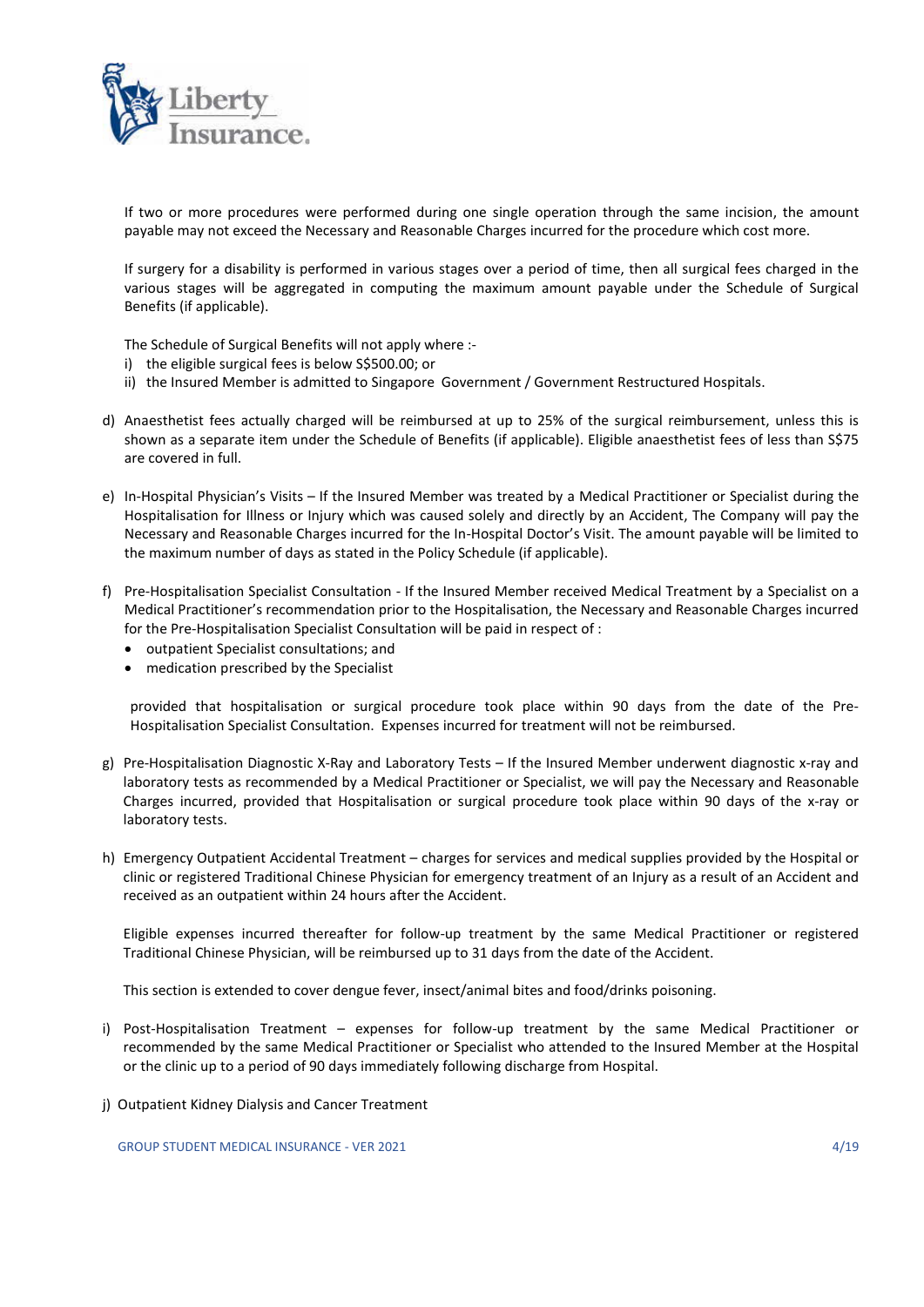

If two or more procedures were performed during one single operation through the same incision, the amount payable may not exceed the Necessary and Reasonable Charges incurred for the procedure which cost more.

If surgery for a disability is performed in various stages over a period of time, then all surgical fees charged in the various stages will be aggregated in computing the maximum amount payable under the Schedule of Surgical Benefits (if applicable).

The Schedule of Surgical Benefits will not apply where :-

- i) the eligible surgical fees is below S\$500.00; or
- ii) the Insured Member is admitted to Singapore Government / Government Restructured Hospitals.
- d) Anaesthetist fees actually charged will be reimbursed at up to 25% of the surgical reimbursement, unless this is shown as a separate item under the Schedule of Benefits (if applicable). Eligible anaesthetist fees of less than S\$75 are covered in full.
- e) In-Hospital Physician's Visits If the Insured Member was treated by a Medical Practitioner or Specialist during the Hospitalisation for Illness or Injury which was caused solely and directly by an Accident, The Company will pay the Necessary and Reasonable Charges incurred for the In-Hospital Doctor's Visit. The amount payable will be limited to the maximum number of days as stated in the Policy Schedule (if applicable).
- f) Pre-Hospitalisation Specialist Consultation If the Insured Member received Medical Treatment by a Specialist on a Medical Practitioner's recommendation prior to the Hospitalisation, the Necessary and Reasonable Charges incurred for the Pre-Hospitalisation Specialist Consultation will be paid in respect of :
	- outpatient Specialist consultations; and
	- medication prescribed by the Specialist

provided that hospitalisation or surgical procedure took place within 90 days from the date of the Pre-Hospitalisation Specialist Consultation. Expenses incurred for treatment will not be reimbursed.

- g) Pre-Hospitalisation Diagnostic X-Ray and Laboratory Tests If the Insured Member underwent diagnostic x-ray and laboratory tests as recommended by a Medical Practitioner or Specialist, we will pay the Necessary and Reasonable Charges incurred, provided that Hospitalisation or surgical procedure took place within 90 days of the x-ray or laboratory tests.
- h) Emergency Outpatient Accidental Treatment charges for services and medical supplies provided by the Hospital or clinic or registered Traditional Chinese Physician for emergency treatment of an Injury as a result of an Accident and received as an outpatient within 24 hours after the Accident.

 Eligible expenses incurred thereafter for follow-up treatment by the same Medical Practitioner or registered Traditional Chinese Physician, will be reimbursed up to 31 days from the date of the Accident.

This section is extended to cover dengue fever, insect/animal bites and food/drinks poisoning.

- i) Post-Hospitalisation Treatment expenses for follow-up treatment by the same Medical Practitioner or recommended by the same Medical Practitioner or Specialist who attended to the Insured Member at the Hospital or the clinic up to a period of 90 days immediately following discharge from Hospital.
- j) Outpatient Kidney Dialysis and Cancer Treatment

GROUP STUDENT MEDICAL INSURANCE - VER 2021 4/19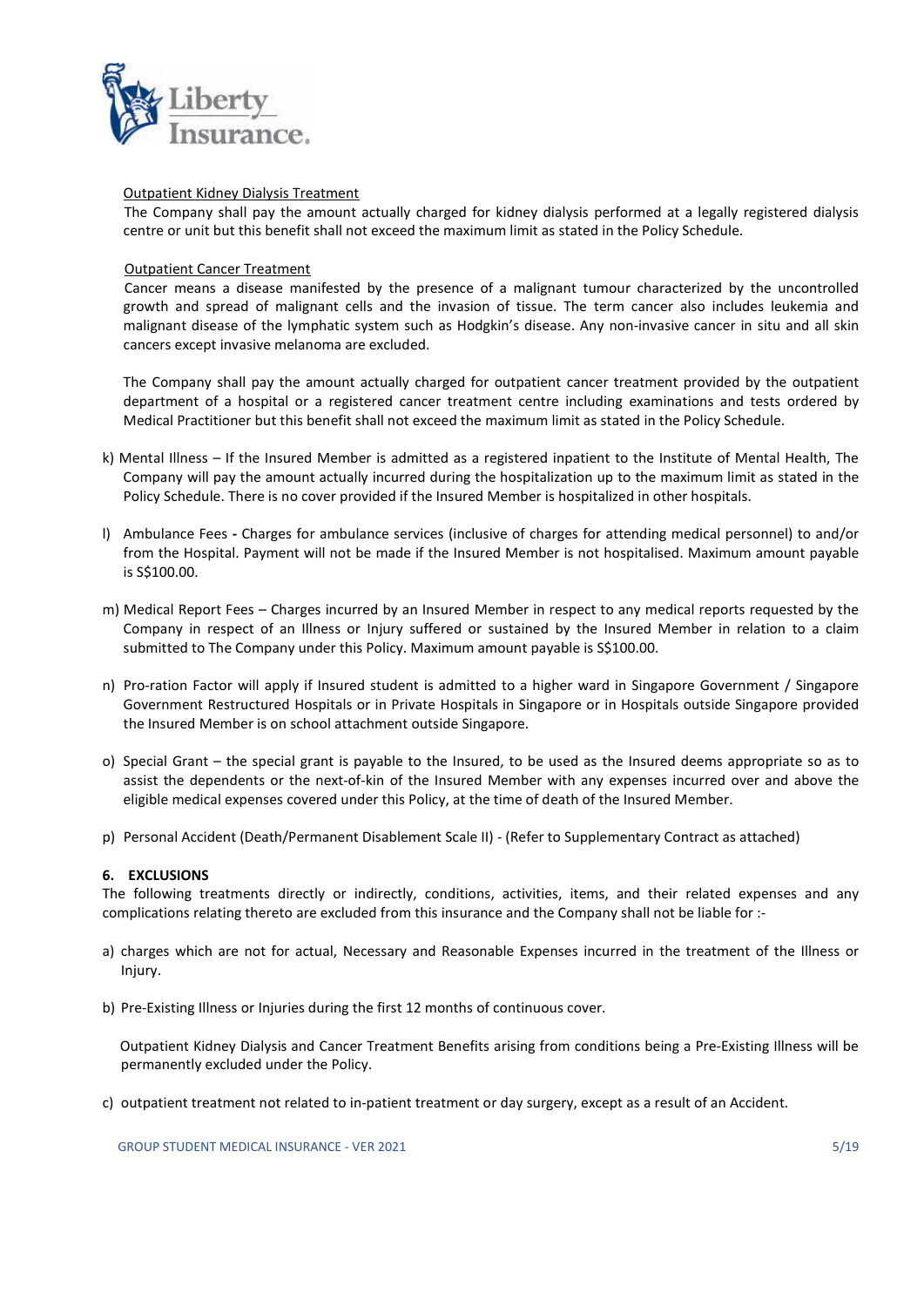

#### Outpatient Kidney Dialysis Treatment

 The Company shall pay the amount actually charged for kidney dialysis performed at a legally registered dialysis centre or unit but this benefit shall not exceed the maximum limit as stated in the Policy Schedule.

## Outpatient Cancer Treatment

 Cancer means a disease manifested by the presence of a malignant tumour characterized by the uncontrolled growth and spread of malignant cells and the invasion of tissue. The term cancer also includes leukemia and malignant disease of the lymphatic system such as Hodgkin's disease. Any non-invasive cancer in situ and all skin cancers except invasive melanoma are excluded.

The Company shall pay the amount actually charged for outpatient cancer treatment provided by the outpatient department of a hospital or a registered cancer treatment centre including examinations and tests ordered by Medical Practitioner but this benefit shall not exceed the maximum limit as stated in the Policy Schedule.

- k) Mental Illness If the Insured Member is admitted as a registered inpatient to the Institute of Mental Health, The Company will pay the amount actually incurred during the hospitalization up to the maximum limit as stated in the Policy Schedule. There is no cover provided if the Insured Member is hospitalized in other hospitals.
- l) Ambulance Fees Charges for ambulance services (inclusive of charges for attending medical personnel) to and/or from the Hospital. Payment will not be made if the Insured Member is not hospitalised. Maximum amount payable is S\$100.00.
- m) Medical Report Fees Charges incurred by an Insured Member in respect to any medical reports requested by the Company in respect of an Illness or Injury suffered or sustained by the Insured Member in relation to a claim submitted to The Company under this Policy. Maximum amount payable is S\$100.00.
- n) Pro-ration Factor will apply if Insured student is admitted to a higher ward in Singapore Government / Singapore Government Restructured Hospitals or in Private Hospitals in Singapore or in Hospitals outside Singapore provided the Insured Member is on school attachment outside Singapore.
- o) Special Grant the special grant is payable to the Insured, to be used as the Insured deems appropriate so as to assist the dependents or the next-of-kin of the Insured Member with any expenses incurred over and above the eligible medical expenses covered under this Policy, at the time of death of the Insured Member.
- p) Personal Accident (Death/Permanent Disablement Scale II) (Refer to Supplementary Contract as attached)

## 6. EXCLUSIONS

The following treatments directly or indirectly, conditions, activities, items, and their related expenses and any complications relating thereto are excluded from this insurance and the Company shall not be liable for :-

- a) charges which are not for actual, Necessary and Reasonable Expenses incurred in the treatment of the Illness or Injury.
- b) Pre-Existing Illness or Injuries during the first 12 months of continuous cover.

 Outpatient Kidney Dialysis and Cancer Treatment Benefits arising from conditions being a Pre-Existing Illness will be permanently excluded under the Policy.

c) outpatient treatment not related to in-patient treatment or day surgery, except as a result of an Accident.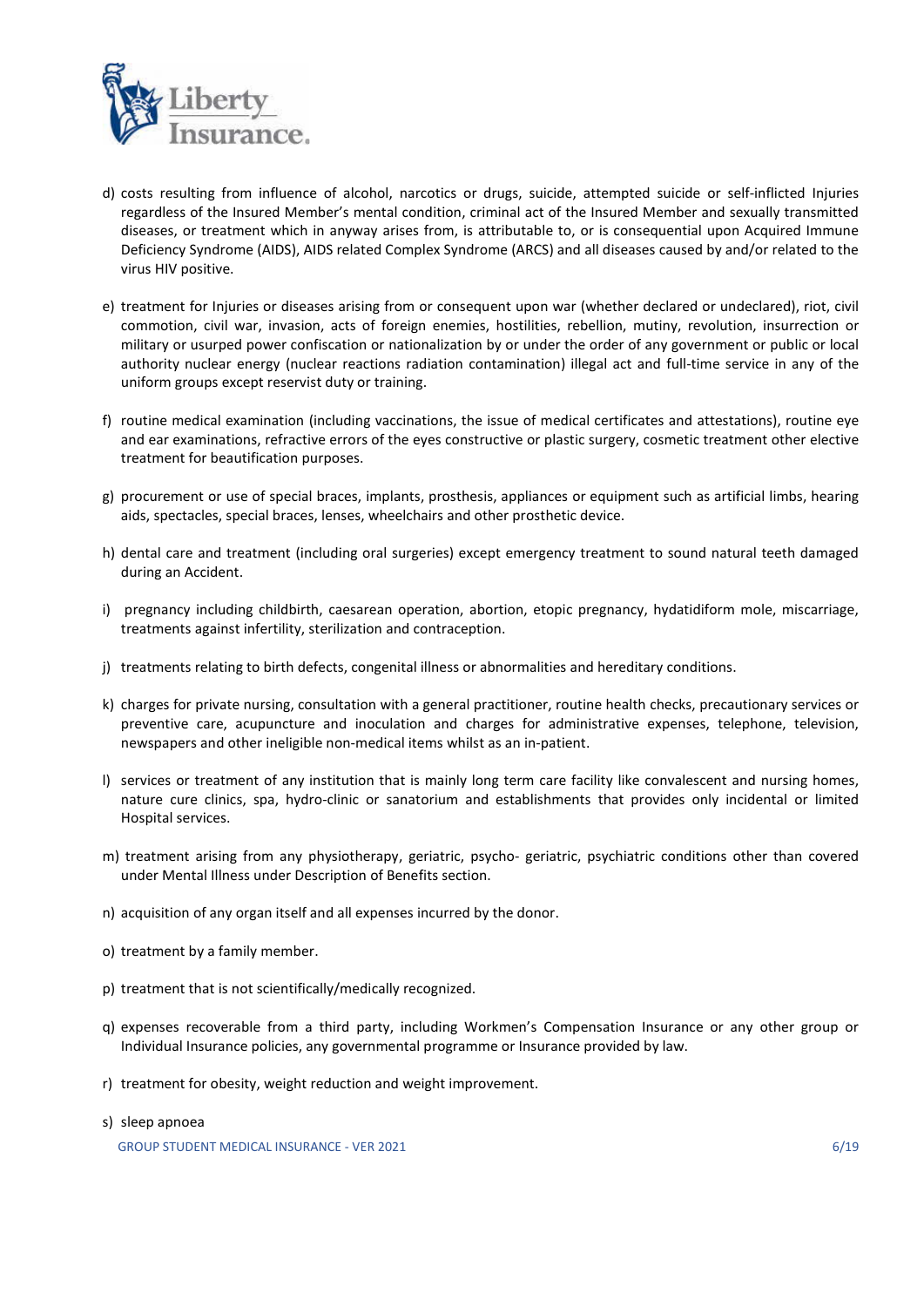

- d) costs resulting from influence of alcohol, narcotics or drugs, suicide, attempted suicide or self-inflicted Injuries regardless of the Insured Member's mental condition, criminal act of the Insured Member and sexually transmitted diseases, or treatment which in anyway arises from, is attributable to, or is consequential upon Acquired Immune Deficiency Syndrome (AIDS), AIDS related Complex Syndrome (ARCS) and all diseases caused by and/or related to the virus HIV positive.
- e) treatment for Injuries or diseases arising from or consequent upon war (whether declared or undeclared), riot, civil commotion, civil war, invasion, acts of foreign enemies, hostilities, rebellion, mutiny, revolution, insurrection or military or usurped power confiscation or nationalization by or under the order of any government or public or local authority nuclear energy (nuclear reactions radiation contamination) illegal act and full-time service in any of the uniform groups except reservist duty or training.
- f) routine medical examination (including vaccinations, the issue of medical certificates and attestations), routine eye and ear examinations, refractive errors of the eyes constructive or plastic surgery, cosmetic treatment other elective treatment for beautification purposes.
- g) procurement or use of special braces, implants, prosthesis, appliances or equipment such as artificial limbs, hearing aids, spectacles, special braces, lenses, wheelchairs and other prosthetic device.
- h) dental care and treatment (including oral surgeries) except emergency treatment to sound natural teeth damaged during an Accident.
- i) pregnancy including childbirth, caesarean operation, abortion, etopic pregnancy, hydatidiform mole, miscarriage, treatments against infertility, sterilization and contraception.
- j) treatments relating to birth defects, congenital illness or abnormalities and hereditary conditions.
- k) charges for private nursing, consultation with a general practitioner, routine health checks, precautionary services or preventive care, acupuncture and inoculation and charges for administrative expenses, telephone, television, newspapers and other ineligible non-medical items whilst as an in-patient.
- l) services or treatment of any institution that is mainly long term care facility like convalescent and nursing homes, nature cure clinics, spa, hydro-clinic or sanatorium and establishments that provides only incidental or limited Hospital services.
- m) treatment arising from any physiotherapy, geriatric, psycho- geriatric, psychiatric conditions other than covered under Mental Illness under Description of Benefits section.
- n) acquisition of any organ itself and all expenses incurred by the donor.
- o) treatment by a family member.
- p) treatment that is not scientifically/medically recognized.
- q) expenses recoverable from a third party, including Workmen's Compensation Insurance or any other group or Individual Insurance policies, any governmental programme or Insurance provided by law.
- r) treatment for obesity, weight reduction and weight improvement.
- s) sleep apnoea

GROUP STUDENT MEDICAL INSURANCE - VER 2021 6/19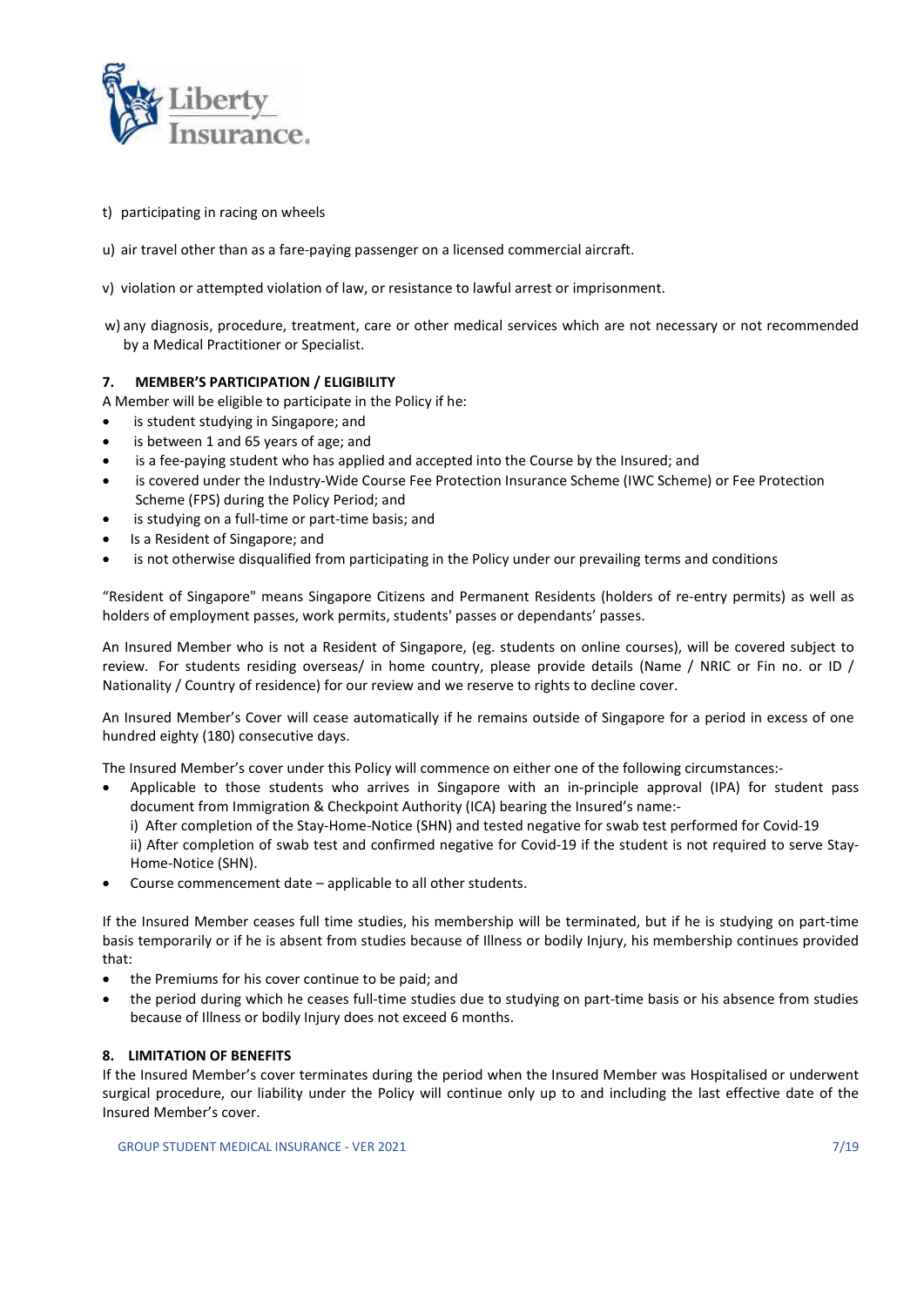

- t) participating in racing on wheels
- u) air travel other than as a fare-paying passenger on a licensed commercial aircraft.
- v) violation or attempted violation of law, or resistance to lawful arrest or imprisonment.
- w) any diagnosis, procedure, treatment, care or other medical services which are not necessary or not recommended by a Medical Practitioner or Specialist.

#### 7. MEMBER'S PARTICIPATION / ELIGIBILITY

- A Member will be eligible to participate in the Policy if he:
- is student studying in Singapore; and
- is between 1 and 65 years of age; and
- is a fee-paying student who has applied and accepted into the Course by the Insured; and
- is covered under the Industry-Wide Course Fee Protection Insurance Scheme (IWC Scheme) or Fee Protection Scheme (FPS) during the Policy Period; and
- is studying on a full-time or part-time basis; and
- Is a Resident of Singapore; and
- is not otherwise disqualified from participating in the Policy under our prevailing terms and conditions

"Resident of Singapore" means Singapore Citizens and Permanent Residents (holders of re-entry permits) as well as holders of employment passes, work permits, students' passes or dependants' passes.

An Insured Member who is not a Resident of Singapore, (eg. students on online courses), will be covered subject to review. For students residing overseas/ in home country, please provide details (Name / NRIC or Fin no. or ID / Nationality / Country of residence) for our review and we reserve to rights to decline cover.

An Insured Member's Cover will cease automatically if he remains outside of Singapore for a period in excess of one hundred eighty (180) consecutive days.

The Insured Member's cover under this Policy will commence on either one of the following circumstances:-

- Applicable to those students who arrives in Singapore with an in-principle approval (IPA) for student pass document from Immigration & Checkpoint Authority (ICA) bearing the Insured's name:
	- i) After completion of the Stay-Home-Notice (SHN) and tested negative for swab test performed for Covid-19

ii) After completion of swab test and confirmed negative for Covid-19 if the student is not required to serve Stay-Home-Notice (SHN).

Course commencement date – applicable to all other students.

If the Insured Member ceases full time studies, his membership will be terminated, but if he is studying on part-time basis temporarily or if he is absent from studies because of Illness or bodily Injury, his membership continues provided that:

- the Premiums for his cover continue to be paid; and
- the period during which he ceases full-time studies due to studying on part-time basis or his absence from studies because of Illness or bodily Injury does not exceed 6 months.

## 8. LIMITATION OF BENEFITS

If the Insured Member's cover terminates during the period when the Insured Member was Hospitalised or underwent surgical procedure, our liability under the Policy will continue only up to and including the last effective date of the Insured Member's cover.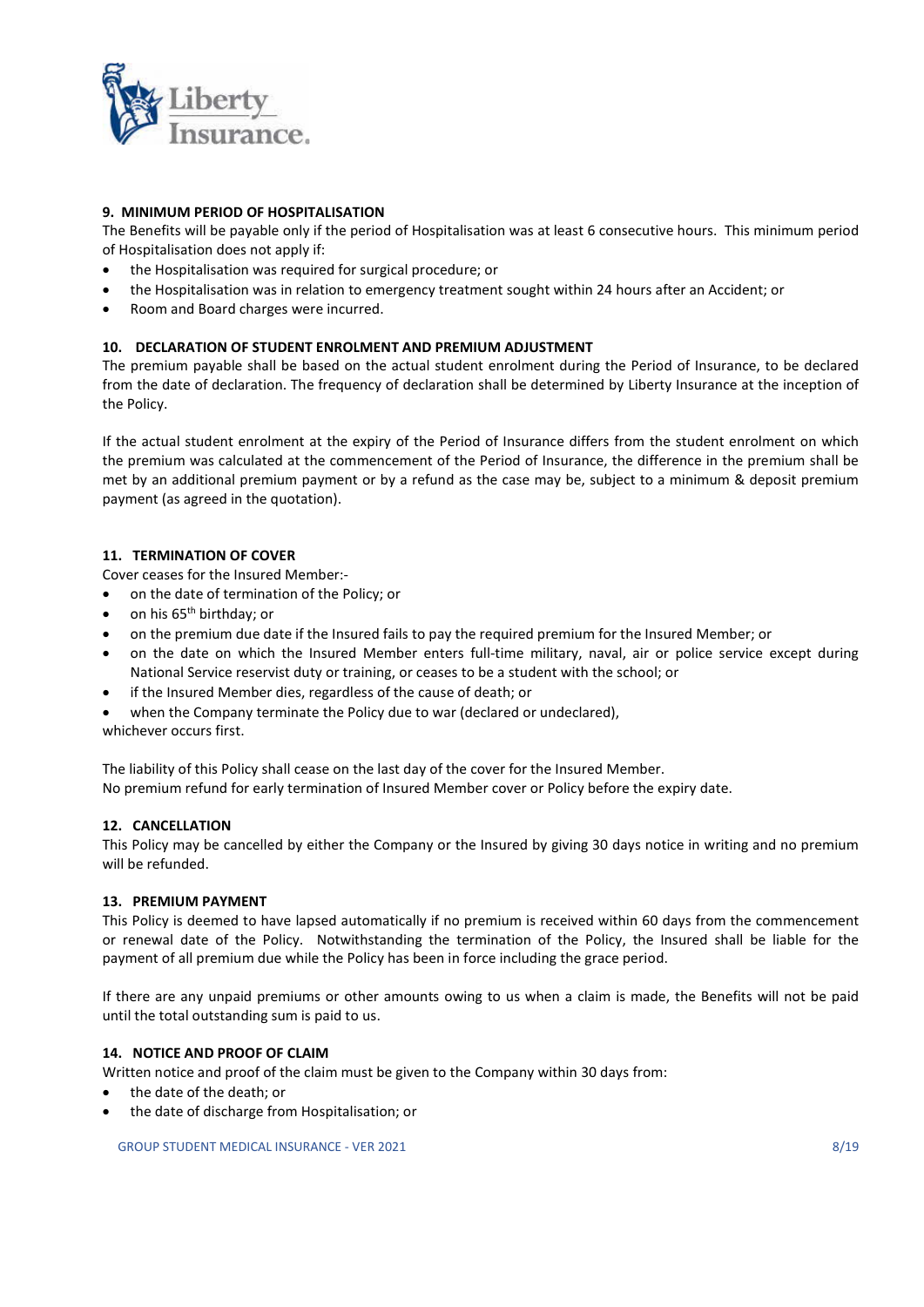

## 9. MINIMUM PERIOD OF HOSPITALISATION

The Benefits will be payable only if the period of Hospitalisation was at least 6 consecutive hours. This minimum period of Hospitalisation does not apply if:

- the Hospitalisation was required for surgical procedure; or
- the Hospitalisation was in relation to emergency treatment sought within 24 hours after an Accident; or
- Room and Board charges were incurred.

## 10. DECLARATION OF STUDENT ENROLMENT AND PREMIUM ADJUSTMENT

The premium payable shall be based on the actual student enrolment during the Period of Insurance, to be declared from the date of declaration. The frequency of declaration shall be determined by Liberty Insurance at the inception of the Policy.

If the actual student enrolment at the expiry of the Period of Insurance differs from the student enrolment on which the premium was calculated at the commencement of the Period of Insurance, the difference in the premium shall be met by an additional premium payment or by a refund as the case may be, subject to a minimum & deposit premium payment (as agreed in the quotation).

## 11. TERMINATION OF COVER

Cover ceases for the Insured Member:-

- on the date of termination of the Policy; or
- on his 65<sup>th</sup> birthday; or
- on the premium due date if the Insured fails to pay the required premium for the Insured Member; or
- on the date on which the Insured Member enters full-time military, naval, air or police service except during National Service reservist duty or training, or ceases to be a student with the school; or
- if the Insured Member dies, regardless of the cause of death; or
- when the Company terminate the Policy due to war (declared or undeclared),

whichever occurs first.

The liability of this Policy shall cease on the last day of the cover for the Insured Member. No premium refund for early termination of Insured Member cover or Policy before the expiry date.

## 12. CANCELLATION

This Policy may be cancelled by either the Company or the Insured by giving 30 days notice in writing and no premium will be refunded.

## 13. PREMIUM PAYMENT

This Policy is deemed to have lapsed automatically if no premium is received within 60 days from the commencement or renewal date of the Policy. Notwithstanding the termination of the Policy, the Insured shall be liable for the payment of all premium due while the Policy has been in force including the grace period.

If there are any unpaid premiums or other amounts owing to us when a claim is made, the Benefits will not be paid until the total outstanding sum is paid to us.

## 14. NOTICE AND PROOF OF CLAIM

Written notice and proof of the claim must be given to the Company within 30 days from:

- the date of the death; or
- the date of discharge from Hospitalisation; or

GROUP STUDENT MEDICAL INSURANCE - VER 2021 8/19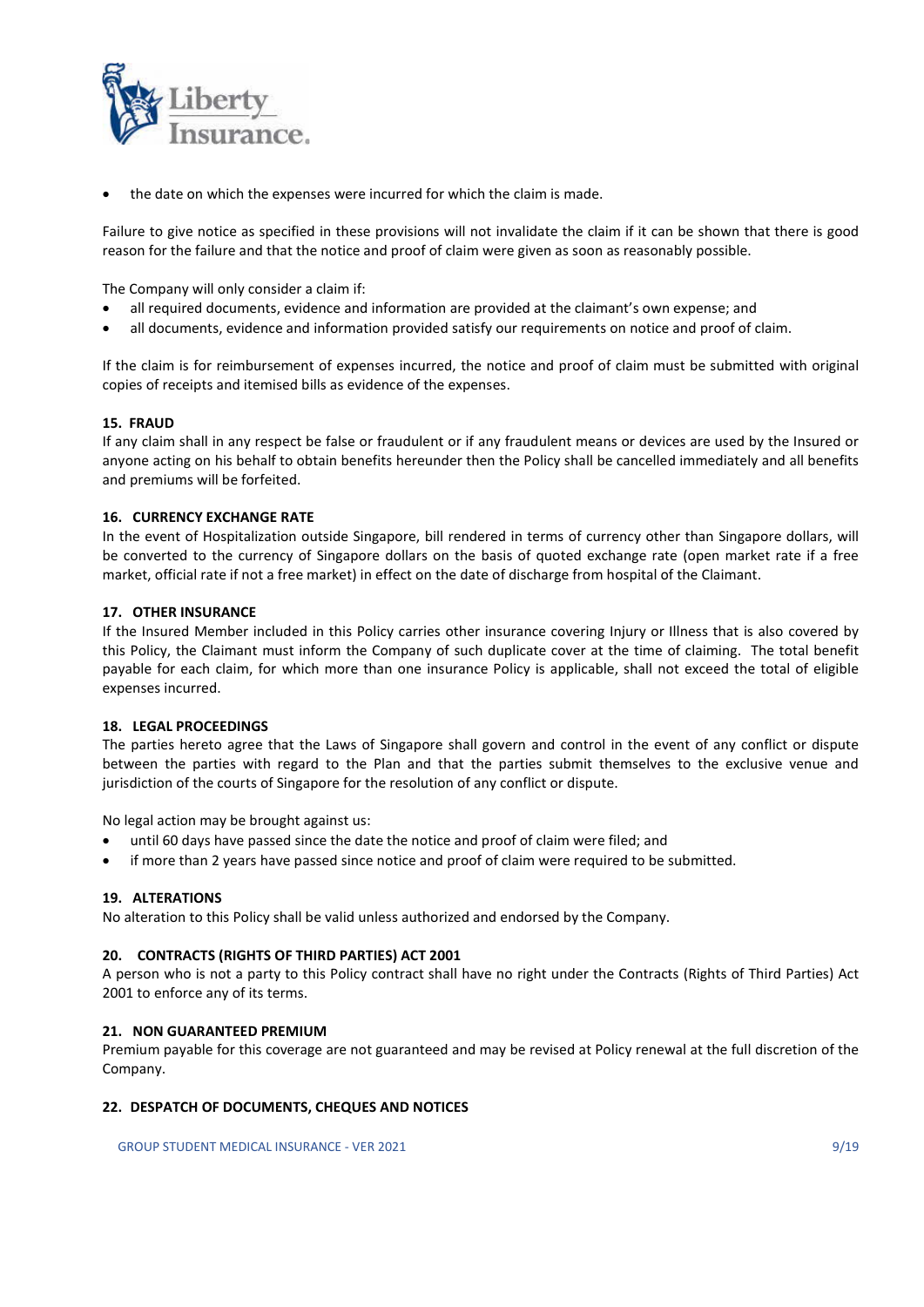

the date on which the expenses were incurred for which the claim is made.

Failure to give notice as specified in these provisions will not invalidate the claim if it can be shown that there is good reason for the failure and that the notice and proof of claim were given as soon as reasonably possible.

The Company will only consider a claim if:

- all required documents, evidence and information are provided at the claimant's own expense; and
- all documents, evidence and information provided satisfy our requirements on notice and proof of claim.

If the claim is for reimbursement of expenses incurred, the notice and proof of claim must be submitted with original copies of receipts and itemised bills as evidence of the expenses.

#### 15. FRAUD

If any claim shall in any respect be false or fraudulent or if any fraudulent means or devices are used by the Insured or anyone acting on his behalf to obtain benefits hereunder then the Policy shall be cancelled immediately and all benefits and premiums will be forfeited.

#### 16. CURRENCY EXCHANGE RATE

In the event of Hospitalization outside Singapore, bill rendered in terms of currency other than Singapore dollars, will be converted to the currency of Singapore dollars on the basis of quoted exchange rate (open market rate if a free market, official rate if not a free market) in effect on the date of discharge from hospital of the Claimant.

#### 17. OTHER INSURANCE

If the Insured Member included in this Policy carries other insurance covering Injury or Illness that is also covered by this Policy, the Claimant must inform the Company of such duplicate cover at the time of claiming. The total benefit payable for each claim, for which more than one insurance Policy is applicable, shall not exceed the total of eligible expenses incurred.

#### 18. LEGAL PROCEEDINGS

The parties hereto agree that the Laws of Singapore shall govern and control in the event of any conflict or dispute between the parties with regard to the Plan and that the parties submit themselves to the exclusive venue and jurisdiction of the courts of Singapore for the resolution of any conflict or dispute.

No legal action may be brought against us:

- until 60 days have passed since the date the notice and proof of claim were filed; and
- if more than 2 years have passed since notice and proof of claim were required to be submitted.

#### 19. ALTERATIONS

No alteration to this Policy shall be valid unless authorized and endorsed by the Company.

#### 20. CONTRACTS (RIGHTS OF THIRD PARTIES) ACT 2001

A person who is not a party to this Policy contract shall have no right under the Contracts (Rights of Third Parties) Act 2001 to enforce any of its terms.

#### 21. NON GUARANTEED PREMIUM

Premium payable for this coverage are not guaranteed and may be revised at Policy renewal at the full discretion of the Company.

#### 22. DESPATCH OF DOCUMENTS, CHEQUES AND NOTICES

GROUP STUDENT MEDICAL INSURANCE - VER 2021 9/19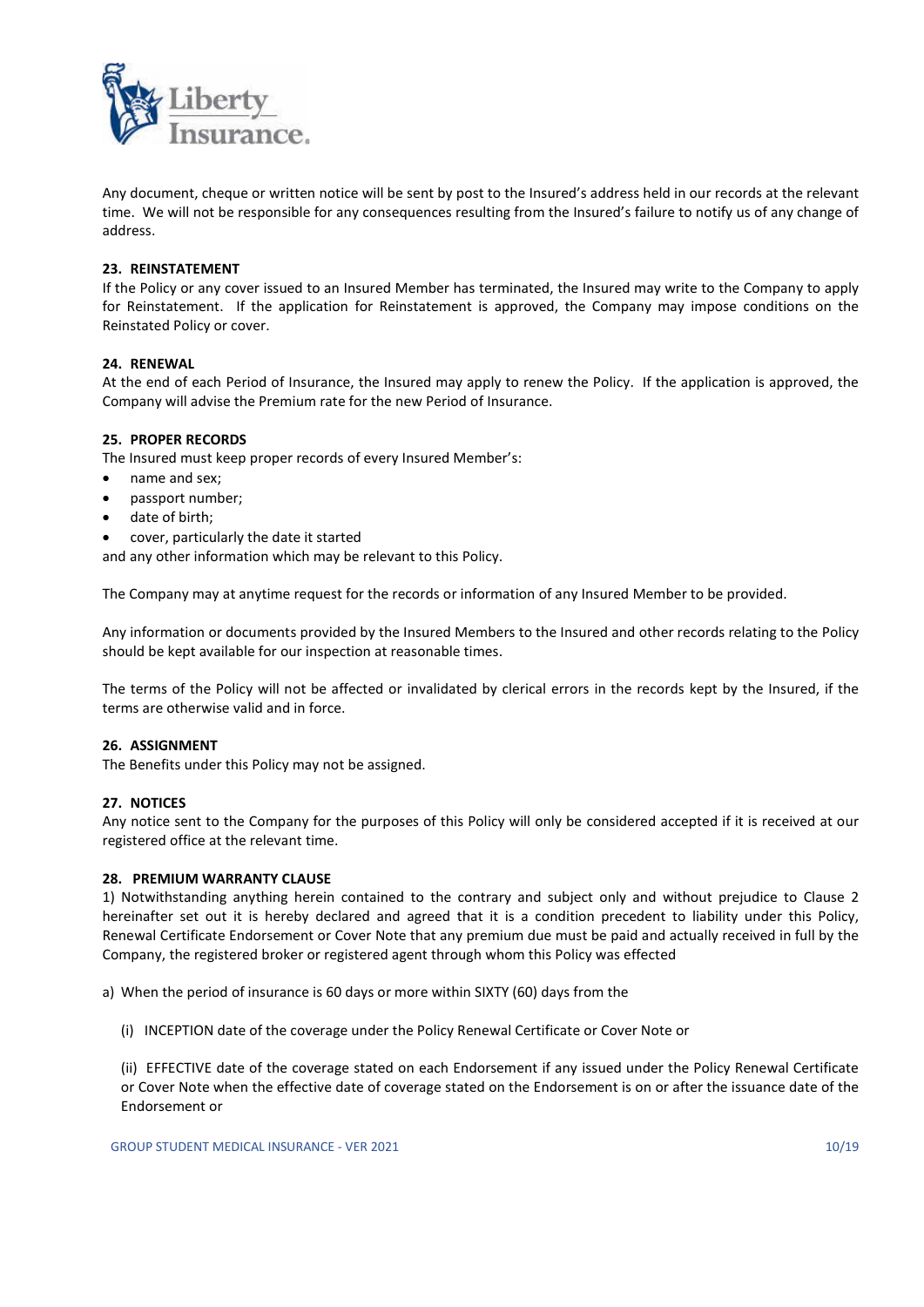

Any document, cheque or written notice will be sent by post to the Insured's address held in our records at the relevant time. We will not be responsible for any consequences resulting from the Insured's failure to notify us of any change of address.

## 23. REINSTATEMENT

If the Policy or any cover issued to an Insured Member has terminated, the Insured may write to the Company to apply for Reinstatement. If the application for Reinstatement is approved, the Company may impose conditions on the Reinstated Policy or cover.

## 24. RENEWAL

At the end of each Period of Insurance, the Insured may apply to renew the Policy. If the application is approved, the Company will advise the Premium rate for the new Period of Insurance.

## 25. PROPER RECORDS

The Insured must keep proper records of every Insured Member's:

- name and sex;
- passport number;
- date of birth;
- cover, particularly the date it started

and any other information which may be relevant to this Policy.

The Company may at anytime request for the records or information of any Insured Member to be provided.

Any information or documents provided by the Insured Members to the Insured and other records relating to the Policy should be kept available for our inspection at reasonable times.

The terms of the Policy will not be affected or invalidated by clerical errors in the records kept by the Insured, if the terms are otherwise valid and in force.

## 26. ASSIGNMENT

The Benefits under this Policy may not be assigned.

## 27. NOTICES

Any notice sent to the Company for the purposes of this Policy will only be considered accepted if it is received at our registered office at the relevant time.

## 28. PREMIUM WARRANTY CLAUSE

1) Notwithstanding anything herein contained to the contrary and subject only and without prejudice to Clause 2 hereinafter set out it is hereby declared and agreed that it is a condition precedent to liability under this Policy, Renewal Certificate Endorsement or Cover Note that any premium due must be paid and actually received in full by the Company, the registered broker or registered agent through whom this Policy was effected

a) When the period of insurance is 60 days or more within SIXTY (60) days from the

(i) INCEPTION date of the coverage under the Policy Renewal Certificate or Cover Note or

 (ii) EFFECTIVE date of the coverage stated on each Endorsement if any issued under the Policy Renewal Certificate or Cover Note when the effective date of coverage stated on the Endorsement is on or after the issuance date of the Endorsement or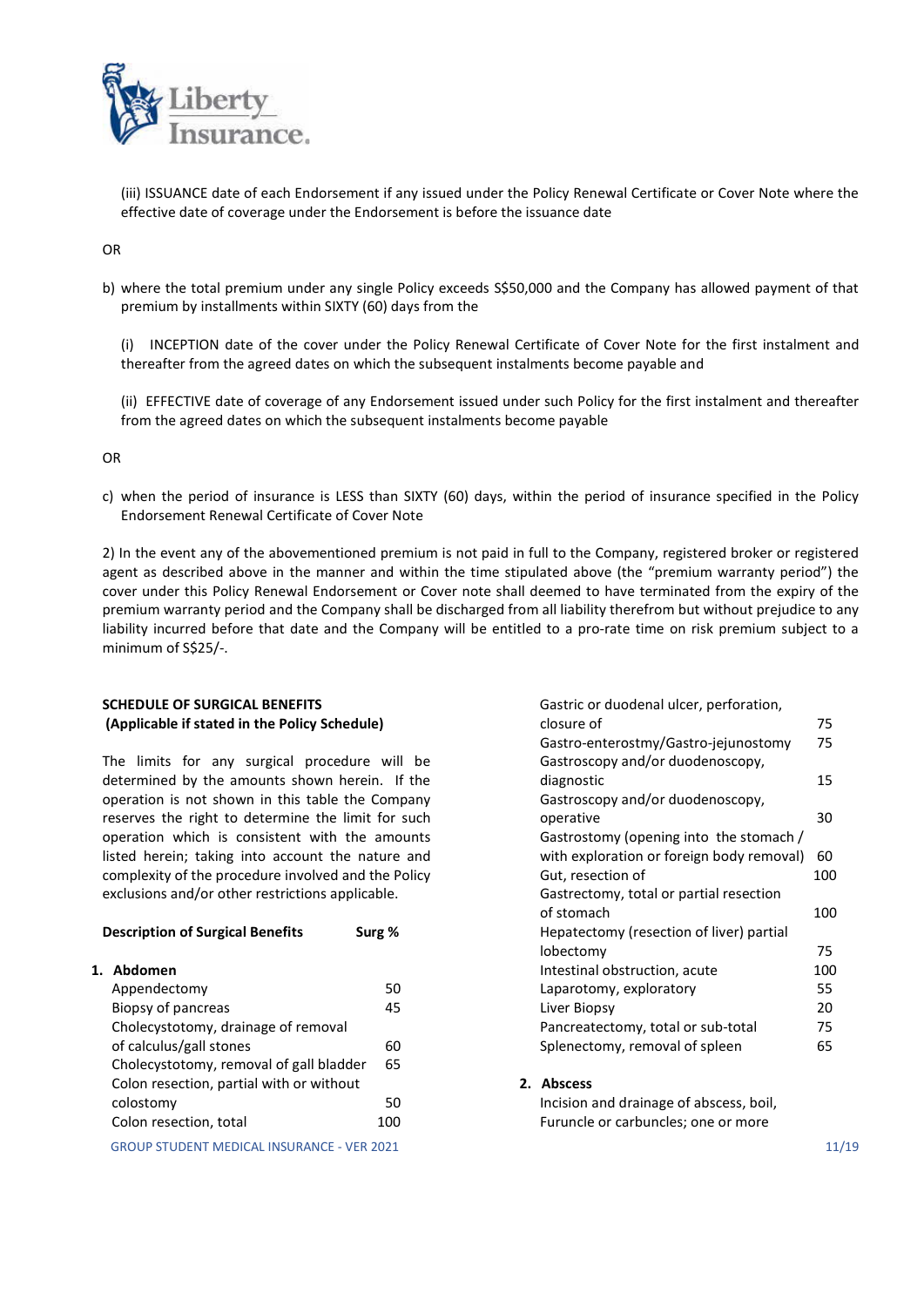

 (iii) ISSUANCE date of each Endorsement if any issued under the Policy Renewal Certificate or Cover Note where the effective date of coverage under the Endorsement is before the issuance date

OR

b) where the total premium under any single Policy exceeds S\$50,000 and the Company has allowed payment of that premium by installments within SIXTY (60) days from the

 (i) INCEPTION date of the cover under the Policy Renewal Certificate of Cover Note for the first instalment and thereafter from the agreed dates on which the subsequent instalments become payable and

 (ii) EFFECTIVE date of coverage of any Endorsement issued under such Policy for the first instalment and thereafter from the agreed dates on which the subsequent instalments become payable

OR

c) when the period of insurance is LESS than SIXTY (60) days, within the period of insurance specified in the Policy Endorsement Renewal Certificate of Cover Note

2) In the event any of the abovementioned premium is not paid in full to the Company, registered broker or registered agent as described above in the manner and within the time stipulated above (the "premium warranty period") the cover under this Policy Renewal Endorsement or Cover note shall deemed to have terminated from the expiry of the premium warranty period and the Company shall be discharged from all liability therefrom but without prejudice to any liability incurred before that date and the Company will be entitled to a pro-rate time on risk premium subject to a minimum of S\$25/-.

## SCHEDULE OF SURGICAL BENEFITS (Applicable if stated in the Policy Schedule)

The limits for any surgical procedure will be determined by the amounts shown herein. If the operation is not shown in this table the Company reserves the right to determine the limit for such operation which is consistent with the amounts listed herein; taking into account the nature and complexity of the procedure involved and the Policy exclusions and/or other restrictions applicable.

| <b>Description of Surgical Benefits</b><br>Surg % |     | Hepatectomy (resection of liver) partial |       |
|---------------------------------------------------|-----|------------------------------------------|-------|
|                                                   |     | lobectomy                                | 75    |
| Abdomen                                           |     | Intestinal obstruction, acute            | 100   |
| Appendectomy                                      | 50  | Laparotomy, exploratory                  | 55    |
| Biopsy of pancreas                                | 45  | Liver Biopsy                             | 20    |
| Cholecystotomy, drainage of removal               |     | Pancreatectomy, total or sub-total       | 75    |
| of calculus/gall stones                           | 60  | Splenectomy, removal of spleen           | 65    |
| Cholecystotomy, removal of gall bladder           | 65  |                                          |       |
| Colon resection, partial with or without          |     | 2. Abscess                               |       |
| colostomy                                         | 50  | Incision and drainage of abscess, boil,  |       |
| Colon resection, total                            | 100 | Furuncle or carbuncles; one or more      |       |
| <b>GROUP STUDENT MEDICAL INSURANCE - VER 2021</b> |     |                                          | 11/19 |

| Gastric or duodenal ulcer, perforation,   |     |
|-------------------------------------------|-----|
| closure of                                | 75  |
| Gastro-enterostmy/Gastro-jejunostomy      | 75  |
| Gastroscopy and/or duodenoscopy,          |     |
| diagnostic                                | 15  |
| Gastroscopy and/or duodenoscopy,          |     |
| operative                                 | 30  |
| Gastrostomy (opening into the stomach /   |     |
| with exploration or foreign body removal) | 60  |
| Gut, resection of                         | 100 |
| Gastrectomy, total or partial resection   |     |
| of stomach                                | 100 |
| Hepatectomy (resection of liver) partial  |     |
| lobectomy                                 | 75  |
| Intestinal obstruction, acute             | 100 |
| Laparotomy, exploratory                   | 55  |
| Liver Biopsy                              | 20  |
| Pancreatectomy, total or sub-total        | 75  |
| Splenectomy, removal of spleen            | 65  |
|                                           |     |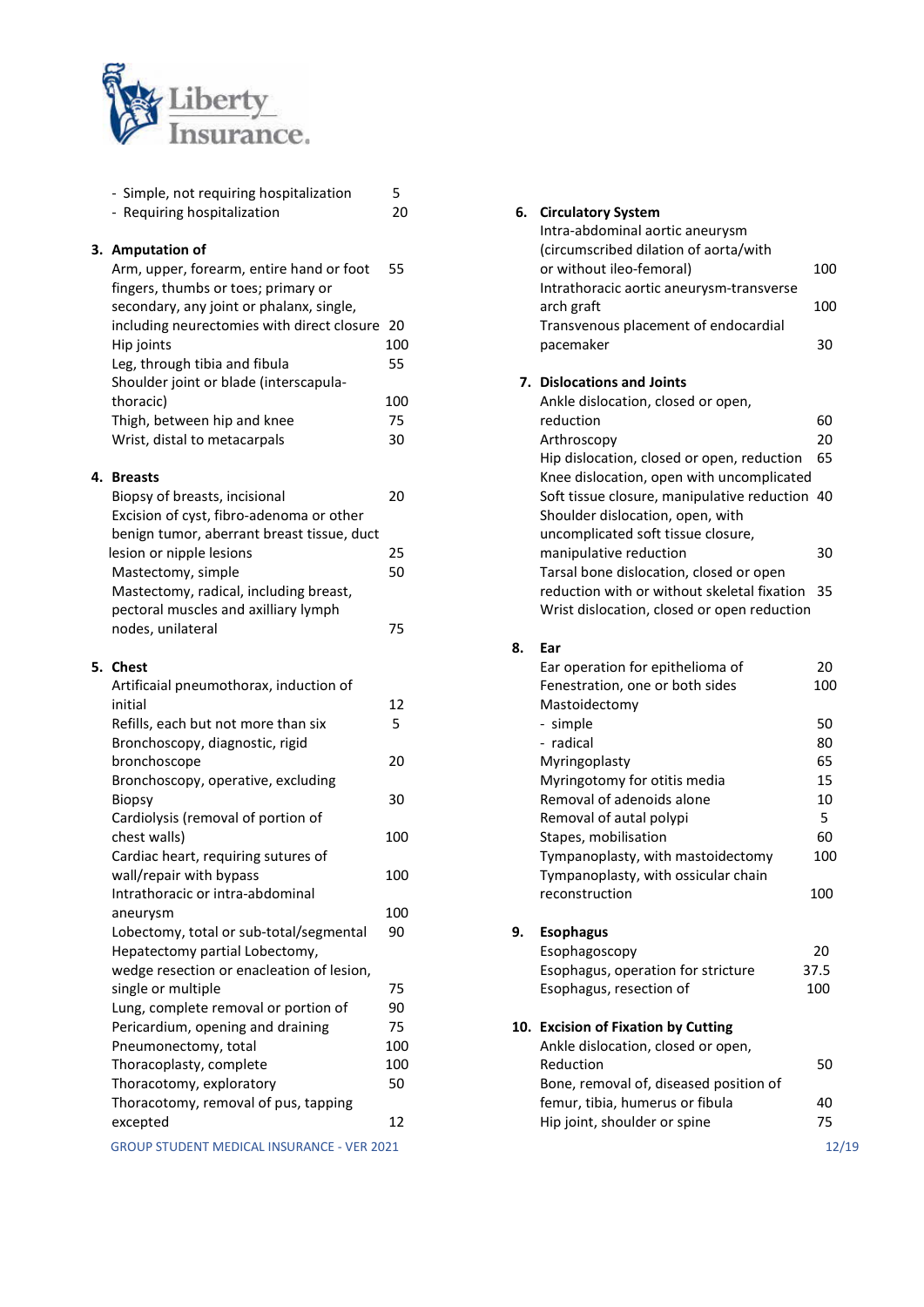

| - Simple, not requiring hospitalization           | 5   |    |                                                |       |
|---------------------------------------------------|-----|----|------------------------------------------------|-------|
| - Requiring hospitalization                       | 20  |    | 6. Circulatory System                          |       |
|                                                   |     |    | Intra-abdominal aortic aneurysm                |       |
| 3. Amputation of                                  |     |    | (circumscribed dilation of aorta/with          |       |
| Arm, upper, forearm, entire hand or foot          | 55  |    | or without ileo-femoral)                       | 100   |
| fingers, thumbs or toes; primary or               |     |    | Intrathoracic aortic aneurysm-transverse       |       |
| secondary, any joint or phalanx, single,          |     |    | arch graft                                     | 100   |
| including neurectomies with direct closure 20     |     |    | Transvenous placement of endocardial           |       |
| Hip joints                                        | 100 |    | pacemaker                                      | 30    |
| Leg, through tibia and fibula                     | 55  |    |                                                |       |
| Shoulder joint or blade (interscapula-            |     |    | 7. Dislocations and Joints                     |       |
| thoracic)                                         | 100 |    | Ankle dislocation, closed or open,             |       |
| Thigh, between hip and knee                       | 75  |    | reduction                                      | 60    |
| Wrist, distal to metacarpals                      | 30  |    | Arthroscopy                                    | 20    |
|                                                   |     |    | Hip dislocation, closed or open, reduction     | 65    |
| 4. Breasts                                        |     |    | Knee dislocation, open with uncomplicated      |       |
| Biopsy of breasts, incisional                     | 20  |    | Soft tissue closure, manipulative reduction 40 |       |
| Excision of cyst, fibro-adenoma or other          |     |    | Shoulder dislocation, open, with               |       |
| benign tumor, aberrant breast tissue, duct        |     |    | uncomplicated soft tissue closure,             |       |
| lesion or nipple lesions                          | 25  |    | manipulative reduction                         | 30    |
| Mastectomy, simple                                | 50  |    | Tarsal bone dislocation, closed or open        |       |
| Mastectomy, radical, including breast,            |     |    | reduction with or without skeletal fixation 35 |       |
| pectoral muscles and axilliary lymph              |     |    | Wrist dislocation, closed or open reduction    |       |
| nodes, unilateral                                 | 75  |    |                                                |       |
|                                                   |     | 8. | Ear                                            |       |
| 5. Chest                                          |     |    | Ear operation for epithelioma of               | 20    |
| Artificaial pneumothorax, induction of            |     |    | Fenestration, one or both sides                | 100   |
| initial                                           | 12  |    | Mastoidectomy                                  |       |
| Refills, each but not more than six               | 5   |    | - simple                                       | 50    |
| Bronchoscopy, diagnostic, rigid                   |     |    | - radical                                      | 80    |
| bronchoscope                                      | 20  |    | Myringoplasty                                  | 65    |
| Bronchoscopy, operative, excluding                |     |    | Myringotomy for otitis media                   | 15    |
| <b>Biopsy</b>                                     | 30  |    | Removal of adenoids alone                      | 10    |
| Cardiolysis (removal of portion of                |     |    | Removal of autal polypi                        | 5     |
| chest walls)                                      | 100 |    | Stapes, mobilisation                           | 60    |
| Cardiac heart, requiring sutures of               |     |    | Tympanoplasty, with mastoidectomy              | 100   |
| wall/repair with bypass                           | 100 |    | Tympanoplasty, with ossicular chain            |       |
| Intrathoracic or intra-abdominal                  |     |    | reconstruction                                 | 100   |
| aneurysm                                          | 100 |    |                                                |       |
| Lobectomy, total or sub-total/segmental           | 90  | 9. | <b>Esophagus</b>                               |       |
| Hepatectomy partial Lobectomy,                    |     |    | Esophagoscopy                                  | 20    |
| wedge resection or enacleation of lesion,         |     |    | Esophagus, operation for stricture             | 37.5  |
| single or multiple                                | 75  |    | Esophagus, resection of                        | 100   |
| Lung, complete removal or portion of              | 90  |    |                                                |       |
| Pericardium, opening and draining                 | 75  |    | 10. Excision of Fixation by Cutting            |       |
| Pneumonectomy, total                              | 100 |    | Ankle dislocation, closed or open,             |       |
| Thoracoplasty, complete                           | 100 |    | Reduction                                      | 50    |
| Thoracotomy, exploratory                          | 50  |    | Bone, removal of, diseased position of         |       |
| Thoracotomy, removal of pus, tapping              |     |    | femur, tibia, humerus or fibula                | 40    |
| excepted                                          | 12  |    | Hip joint, shoulder or spine                   | 75    |
| <b>GROUP STUDENT MEDICAL INSURANCE - VER 2021</b> |     |    |                                                | 12/19 |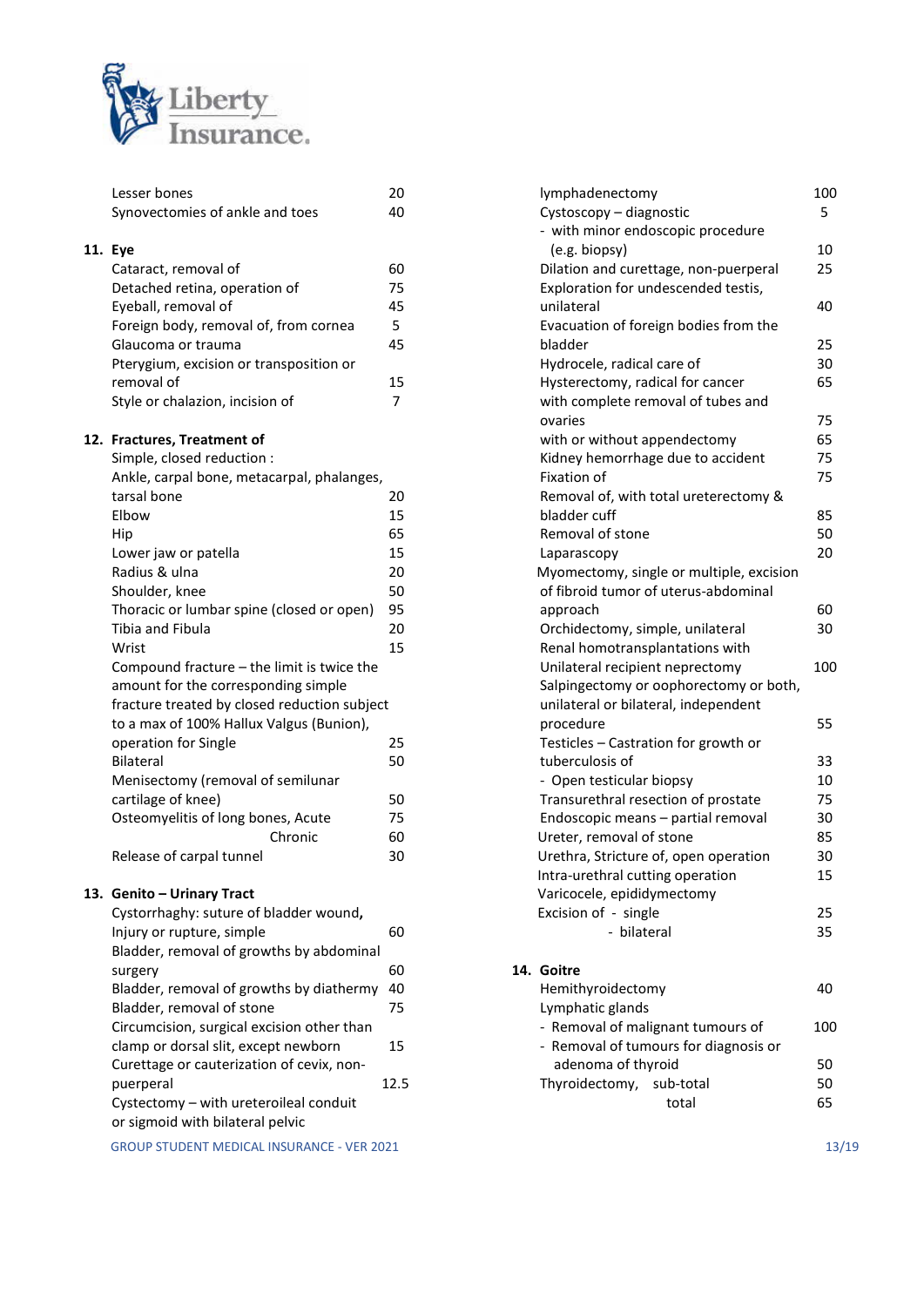

|     | Lesser bones                                        | 20   |
|-----|-----------------------------------------------------|------|
|     | Synovectomies of ankle and toes                     | 40   |
|     |                                                     |      |
| 11. | Eye                                                 |      |
|     | Cataract, removal of                                | 60   |
|     | Detached retina, operation of                       | 75   |
|     | Eyeball, removal of                                 | 45   |
|     | Foreign body, removal of, from cornea               | 5    |
|     | Glaucoma or trauma                                  | 45   |
|     | Pterygium, excision or transposition or             |      |
|     | removal of                                          | 15   |
|     | Style or chalazion, incision of                     | 7    |
|     | 12. Fractures, Treatment of                         |      |
|     | Simple, closed reduction :                          |      |
|     | Ankle, carpal bone, metacarpal, phalanges,          |      |
|     | tarsal bone                                         | 20   |
|     | Elbow                                               | 15   |
|     | Hip                                                 | 65   |
|     | Lower jaw or patella                                | 15   |
|     | Radius & ulna                                       | 20   |
|     | Shoulder, knee                                      | 50   |
|     | Thoracic or lumbar spine (closed or open)           | 95   |
|     | Tibia and Fibula                                    | 20   |
|     | Wrist                                               | 15   |
|     | Compound fracture – the limit is twice the          |      |
|     | amount for the corresponding simple                 |      |
|     | fracture treated by closed reduction subject        |      |
|     | to a max of 100% Hallux Valgus (Bunion),            |      |
|     | operation for Single                                | 25   |
|     | <b>Bilateral</b>                                    | 50   |
|     | Menisectomy (removal of semilunar                   |      |
|     | cartilage of knee)                                  | 50   |
|     | Osteomyelitis of long bones, Acute                  | 75   |
|     | Chronic                                             | 60   |
|     | Release of carpal tunnel                            | 30   |
|     | 13. Genito – Urinary Tract                          |      |
|     | Cystorrhaghy: suture of bladder wound,              |      |
|     | Injury or rupture, simple                           | 60   |
|     | Bladder, removal of growths by abdominal            |      |
|     |                                                     | 60   |
|     | surgery<br>Bladder, removal of growths by diathermy | 40   |
|     | Bladder, removal of stone                           | 75   |
|     | Circumcision, surgical excision other than          |      |
|     | clamp or dorsal slit, except newborn                |      |
|     |                                                     | 15   |
|     | Curettage or cauterization of cevix, non-           |      |
|     | puerperal                                           | 12.5 |
|     | Cystectomy - with ureteroileal conduit              |      |

or sigmoid with bilateral pelvic

GROUP STUDENT MEDICAL INSURANCE - VER 2021 13/19

| lymphadenectomy                                                                | 100 |
|--------------------------------------------------------------------------------|-----|
| Cystoscopy - diagnostic                                                        | 5   |
| - with minor endoscopic procedure                                              |     |
| (e.g. biopsy)                                                                  | 10  |
| Dilation and curettage, non-puerperal                                          | 25  |
| Exploration for undescended testis,                                            |     |
| unilateral                                                                     | 40  |
| Evacuation of foreign bodies from the                                          |     |
| bladder                                                                        | 25  |
| Hydrocele, radical care of                                                     | 30  |
| Hysterectomy, radical for cancer                                               | 65  |
| with complete removal of tubes and                                             |     |
| ovaries                                                                        | 75  |
| with or without appendectomy                                                   | 65  |
| Kidney hemorrhage due to accident                                              | 75  |
| Fixation of                                                                    | 75  |
| Removal of, with total ureterectomy &                                          |     |
| bladder cuff                                                                   | 85  |
| Removal of stone                                                               | 50  |
| Laparascopy                                                                    | 20  |
| Myomectomy, single or multiple, excision                                       |     |
| of fibroid tumor of uterus-abdominal                                           |     |
| approach                                                                       | 60  |
| Orchidectomy, simple, unilateral                                               | 30  |
| Renal homotransplantations with                                                |     |
| Unilateral recipient neprectomy                                                | 100 |
| Salpingectomy or oophorectomy or both,<br>unilateral or bilateral, independent |     |
| procedure                                                                      | 55  |
| Testicles - Castration for growth or                                           |     |
| tuberculosis of                                                                | 33  |
| - Open testicular biopsy                                                       | 10  |
| Transurethral resection of prostate                                            | 75  |
| Endoscopic means - partial removal                                             | 30  |
| Ureter, removal of stone                                                       | 85  |
| Urethra, Stricture of, open operation                                          | 30  |
| Intra-urethral cutting operation                                               | 15  |
| Varicocele, epididymectomy                                                     |     |
| Excision of - single                                                           | 25  |
| - bilateral                                                                    | 35  |
|                                                                                |     |
| 14. Goitre                                                                     |     |
| Hemithyroidectomy                                                              | 40  |
| Lymphatic glands                                                               |     |
| - Removal of malignant tumours of                                              | 100 |
| - Removal of tumours for diagnosis or                                          |     |
| adenoma of thyroid                                                             | 50  |
| Thyroidectomy,<br>sub-total                                                    | 50  |
|                                                                                |     |

total 65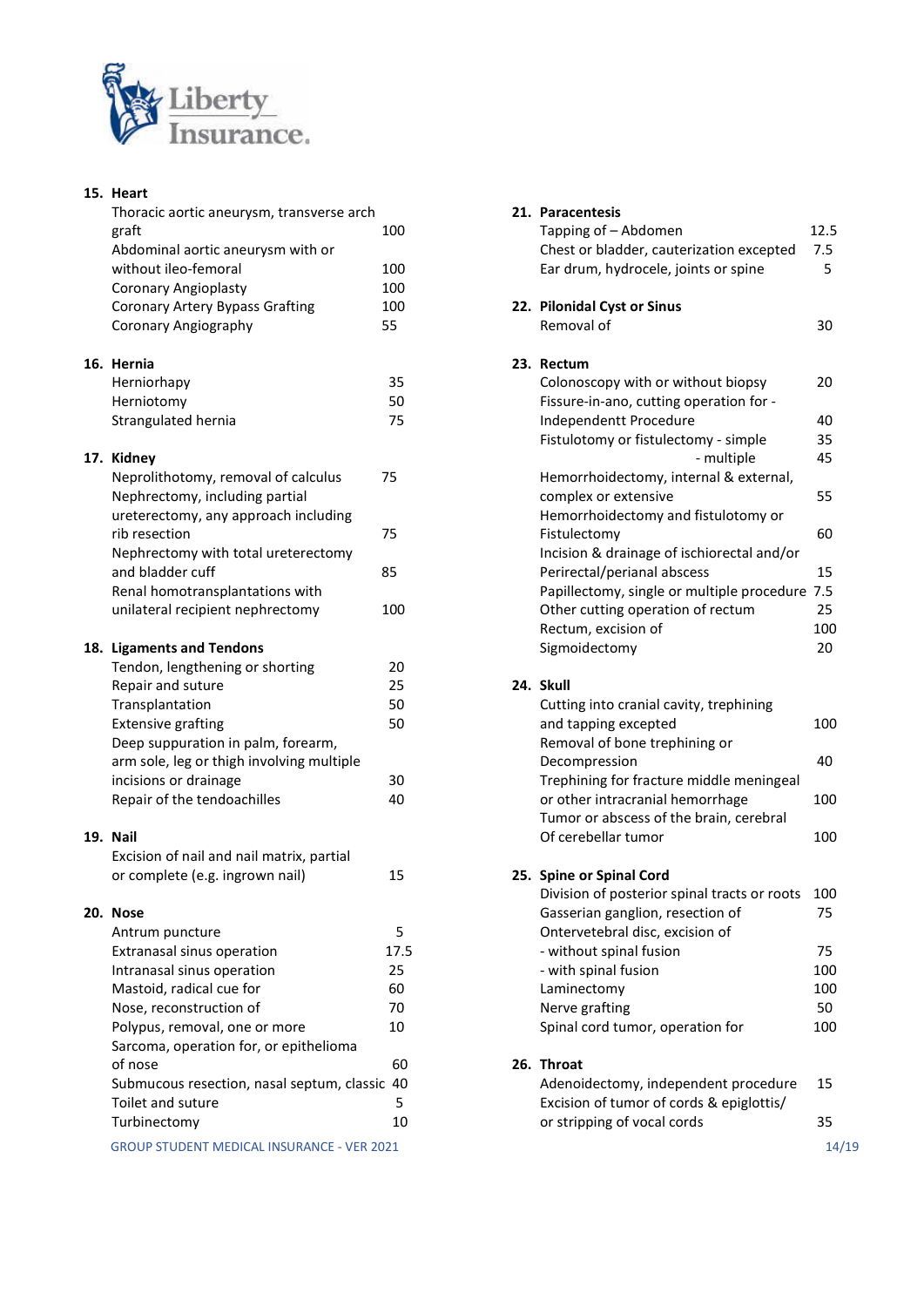

| 15. Heart                                                          |           |
|--------------------------------------------------------------------|-----------|
| Thoracic aortic aneurysm, transverse arch                          |           |
| graft<br>Abdominal aortic aneurysm with or                         | 100       |
| without ileo-femoral                                               | 100       |
| Coronary Angioplasty                                               | 100       |
| <b>Coronary Artery Bypass Grafting</b>                             | 100       |
| Coronary Angiography                                               | 55        |
| 16. Hernia                                                         |           |
| Herniorhapy                                                        | 35        |
| Herniotomy                                                         | 50        |
| Strangulated hernia                                                | 75        |
| 17. Kidney                                                         |           |
| Neprolithotomy, removal of calculus                                | 75        |
| Nephrectomy, including partial                                     |           |
| ureterectomy, any approach including<br>rib resection              | 75        |
| Nephrectomy with total ureterectomy                                |           |
| and bladder cuff                                                   | 85        |
| Renal homotransplantations with                                    |           |
| unilateral recipient nephrectomy                                   | 100       |
| 18. Ligaments and Tendons                                          |           |
| Tendon, lengthening or shorting                                    | 20        |
| Repair and suture                                                  | 25        |
| Transplantation                                                    | 50        |
| <b>Extensive grafting</b>                                          | 50        |
| Deep suppuration in palm, forearm,                                 |           |
| arm sole, leg or thigh involving multiple<br>incisions or drainage | 30        |
| Repair of the tendoachilles                                        | 40        |
|                                                                    |           |
| 19. Nail                                                           |           |
| Excision of nail and nail matrix, partial                          |           |
| or complete (e.g. ingrown nail)                                    | 15        |
| 20. Nose                                                           |           |
| Antrum puncture                                                    | 5<br>17.5 |
| Extranasal sinus operation<br>Intranasal sinus operation           | 25        |
| Mastoid, radical cue for                                           | 60        |
| Nose, reconstruction of                                            | 70        |
| Polypus, removal, one or more                                      | 10        |
| Sarcoma, operation for, or epithelioma                             |           |
| of nose                                                            | 60        |
| Submucous resection, nasal septum, classic                         | 40        |
| Toilet and suture                                                  | 5         |
| Turbinectomy                                                       | 10        |
| GROUP STUDENT MEDICAL INSURANCE - VER 2021                         |           |

| ic aortic aneurysm, transverse arch      |      | 21. Paracentesis                               |       |
|------------------------------------------|------|------------------------------------------------|-------|
|                                          | 100  | Tapping of - Abdomen                           | 12.5  |
| iinal aortic aneurysm with or            |      | Chest or bladder, cauterization excepted       | 7.5   |
| t ileo-femoral                           | 100  | Ear drum, hydrocele, joints or spine           | 5     |
| ary Angioplasty                          | 100  |                                                |       |
| ary Artery Bypass Grafting               | 100  | 22. Pilonidal Cyst or Sinus                    |       |
| ary Angiography                          | 55   | Removal of                                     | 30    |
|                                          |      | 23. Rectum                                     |       |
| rhapy                                    | 35   | Colonoscopy with or without biopsy             | 20    |
| tomy                                     | 50   | Fissure-in-ano, cutting operation for -        |       |
| ulated hernia                            | 75   | Independentt Procedure                         | 40    |
|                                          |      | Fistulotomy or fistulectomy - simple           | 35    |
|                                          |      | - multiple                                     | 45    |
| ithotomy, removal of calculus            | 75   | Hemorrhoidectomy, internal & external,         |       |
| ectomy, including partial                |      | complex or extensive                           | 55    |
| ectomy, any approach including           |      | Hemorrhoidectomy and fistulotomy or            |       |
| ection                                   | 75   | Fistulectomy                                   | 60    |
| ectomy with total ureterectomy           |      | Incision & drainage of ischiorectal and/or     |       |
| adder cuff                               | 85   | Perirectal/perianal abscess                    | 15    |
| nomotransplantations with                |      | Papillectomy, single or multiple procedure 7.5 |       |
| ral recipient nephrectomy                | 100  | Other cutting operation of rectum              | 25    |
|                                          |      | Rectum, excision of                            | 100   |
| ents and Tendons                         |      | Sigmoidectomy                                  | 20    |
| n, lengthening or shorting               | 20   |                                                |       |
| and suture                               | 25   | 24. Skull                                      |       |
| lantation                                | 50   | Cutting into cranial cavity, trephining        |       |
| ive grafting                             | 50   | and tapping excepted                           | 100   |
| uppuration in palm, forearm,             |      | Removal of bone trephining or                  |       |
| le, leg or thigh involving multiple      |      | Decompression                                  | 40    |
| ns or drainage                           | 30   | Trephining for fracture middle meningeal       |       |
| of the tendoachilles                     | 40   | or other intracranial hemorrhage               | 100   |
|                                          |      | Tumor or abscess of the brain, cerebral        |       |
|                                          |      | Of cerebellar tumor                            | 100   |
| n of nail and nail matrix, partial       |      |                                                |       |
| plete (e.g. ingrown nail)                | 15   | 25. Spine or Spinal Cord                       |       |
|                                          |      | Division of posterior spinal tracts or roots   | 100   |
|                                          |      | Gasserian ganglion, resection of               | 75    |
| n puncture                               | 5    | Ontervetebral disc, excision of                |       |
| asal sinus operation                     | 17.5 | - without spinal fusion                        | 75    |
| asal sinus operation                     | 25   | - with spinal fusion                           | 100   |
| id, radical cue for                      | 60   | Laminectomy                                    | 100   |
| reconstruction of                        | 70   | Nerve grafting                                 | 50    |
| s, removal, one or more                  | 10   | Spinal cord tumor, operation for               | 100   |
| na, operation for, or epithelioma        |      |                                                |       |
|                                          | 60   | 26. Throat                                     |       |
| cous resection, nasal septum, classic 40 |      | Adenoidectomy, independent procedure           | 15    |
| and suture                               | 5    | Excision of tumor of cords & epiglottis/       |       |
| ectomy                                   | 10   | or stripping of vocal cords                    | 35    |
| STUDENT MEDICAL INSURANCE - VER 2021     |      |                                                | 14/19 |
|                                          |      |                                                |       |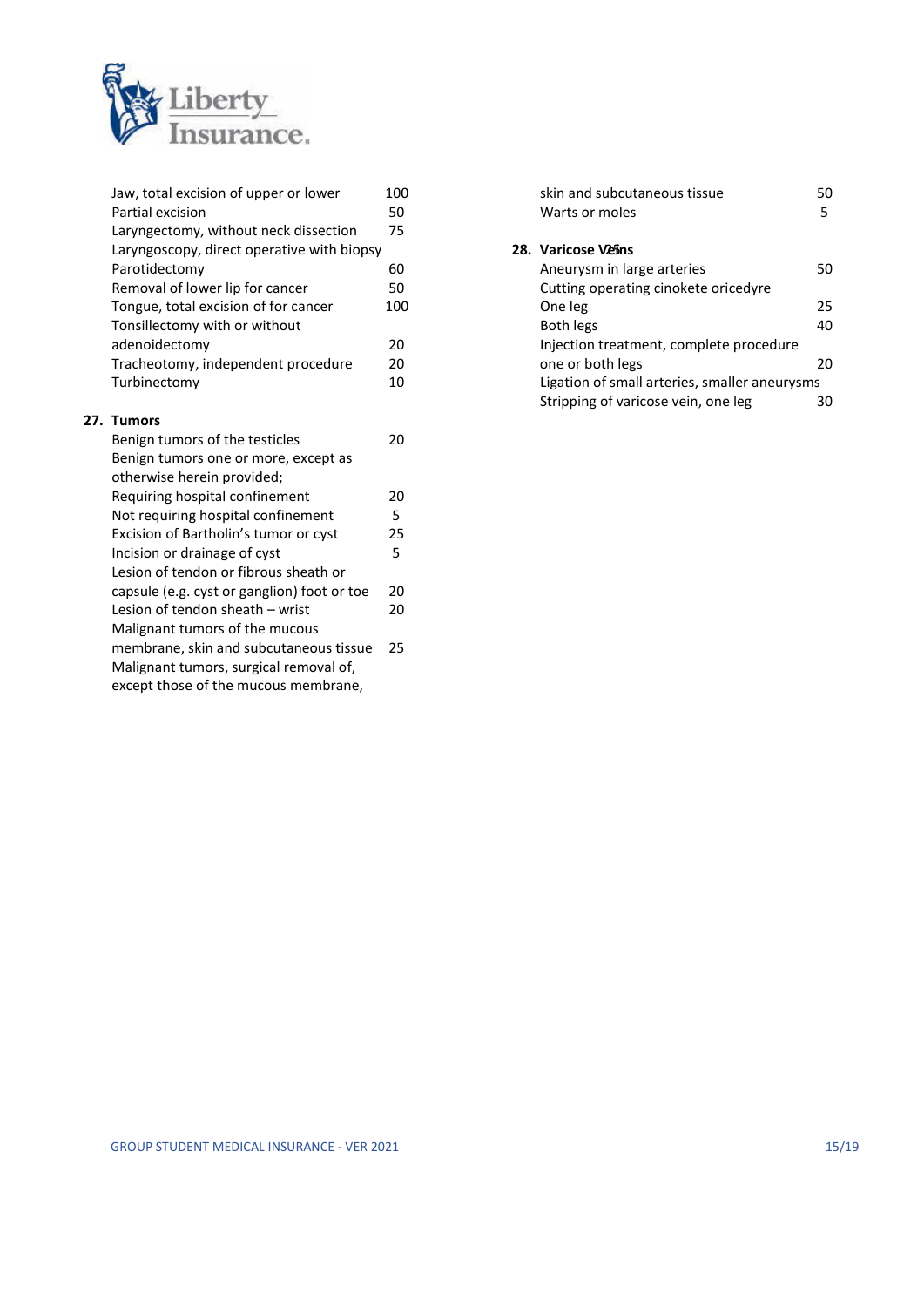

| Jaw, total excision of upper or lower       | 100 | skin and subc     |
|---------------------------------------------|-----|-------------------|
| Partial excision                            | 50  | Warts or mole     |
| Laryngectomy, without neck dissection       | 75  |                   |
| Laryngoscopy, direct operative with biopsy  |     | 28. Varicose Veir |
| Parotidectomy                               | 60  | Aneurysm in       |
| Removal of lower lip for cancer             | 50  | Cutting opera     |
| Tongue, total excision of for cancer        | 100 | One leg           |
| Tonsillectomy with or without               |     | Both legs         |
| adenoidectomy                               | 20  | Injection trea    |
| Tracheotomy, independent procedure          | 20  | one or both le    |
| Turbinectomy                                | 10  | Ligation of sm    |
|                                             |     | Stripping of v    |
| 27. Tumors                                  |     |                   |
| Benign tumors of the testicles              | 20  |                   |
| Benign tumors one or more, except as        |     |                   |
| otherwise herein provided;                  |     |                   |
| Requiring hospital confinement              | 20  |                   |
| Not requiring hospital confinement          | 5   |                   |
| Excision of Bartholin's tumor or cyst       | 25  |                   |
| Incision or drainage of cyst                | 5   |                   |
| Lesion of tendon or fibrous sheath or       |     |                   |
| capsule (e.g. cyst or ganglion) foot or toe | 20  |                   |
| Lesion of tendon sheath - wrist             | 20  |                   |
| Malignant tumors of the mucous              |     |                   |
| membrane, skin and subcutaneous tissue      | 25  |                   |
| Malignant tumors, surgical removal of,      |     |                   |

 $27.$ 

except those of the mucous membrane,

| skin and subcutaneous tissue<br>Warts or moles | 50<br>5 |
|------------------------------------------------|---------|
| 28. Varicose Veins                             |         |
| Aneurysm in large arteries                     | 50      |
| Cutting operating cinokete oricedyre           |         |
| One leg                                        | 25      |
| Both legs                                      | 40      |
| Injection treatment, complete procedure        |         |
| one or both legs                               | 20      |
| Ligation of small arteries, smaller aneurysms  |         |
| Stripping of varicose vein, one leg            |         |
|                                                |         |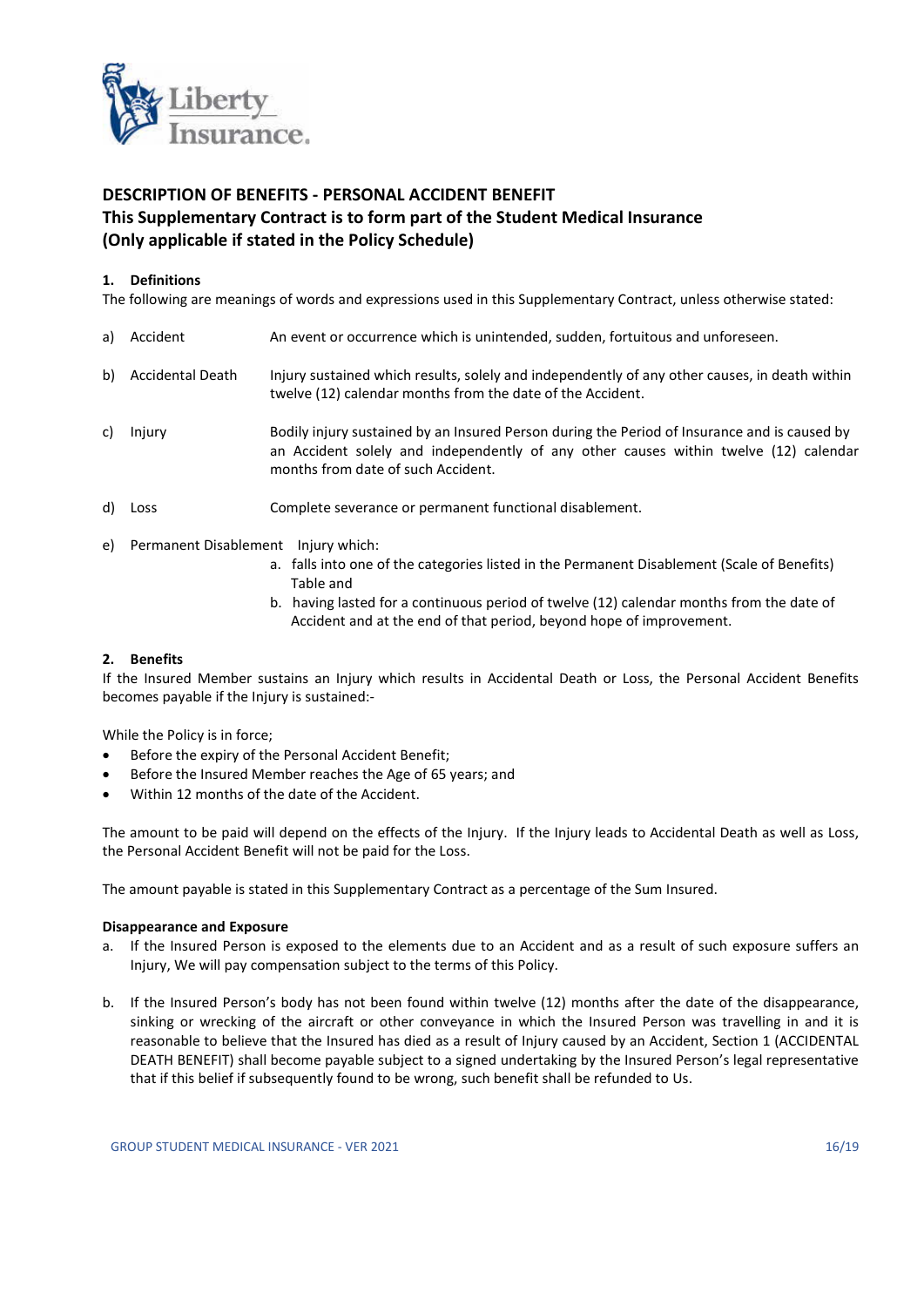

## DESCRIPTION OF BENEFITS - PERSONAL ACCIDENT BENEFIT This Supplementary Contract is to form part of the Student Medical Insurance (Only applicable if stated in the Policy Schedule)

## 1. Definitions

The following are meanings of words and expressions used in this Supplementary Contract, unless otherwise stated:

- a) Accident An event or occurrence which is unintended, sudden, fortuitous and unforeseen. b) Accidental Death Injury sustained which results, solely and independently of any other causes, in death within twelve (12) calendar months from the date of the Accident. c) Injury Bodily injury sustained by an Insured Person during the Period of Insurance and is caused by an Accident solely and independently of any other causes within twelve (12) calendar months from date of such Accident.
- d) Loss Complete severance or permanent functional disablement.
- e) Permanent Disablement Injury which:
	- a. falls into one of the categories listed in the Permanent Disablement (Scale of Benefits) Table and
	- b. having lasted for a continuous period of twelve (12) calendar months from the date of Accident and at the end of that period, beyond hope of improvement.

## 2. Benefits

If the Insured Member sustains an Injury which results in Accidental Death or Loss, the Personal Accident Benefits becomes payable if the Injury is sustained:-

While the Policy is in force;

- Before the expiry of the Personal Accident Benefit;
- Before the Insured Member reaches the Age of 65 years; and
- Within 12 months of the date of the Accident.

The amount to be paid will depend on the effects of the Injury. If the Injury leads to Accidental Death as well as Loss, the Personal Accident Benefit will not be paid for the Loss.

The amount payable is stated in this Supplementary Contract as a percentage of the Sum Insured.

## Disappearance and Exposure

- a. If the Insured Person is exposed to the elements due to an Accident and as a result of such exposure suffers an Injury, We will pay compensation subject to the terms of this Policy.
- b. If the Insured Person's body has not been found within twelve (12) months after the date of the disappearance, sinking or wrecking of the aircraft or other conveyance in which the Insured Person was travelling in and it is reasonable to believe that the Insured has died as a result of Injury caused by an Accident, Section 1 (ACCIDENTAL DEATH BENEFIT) shall become payable subject to a signed undertaking by the Insured Person's legal representative that if this belief if subsequently found to be wrong, such benefit shall be refunded to Us.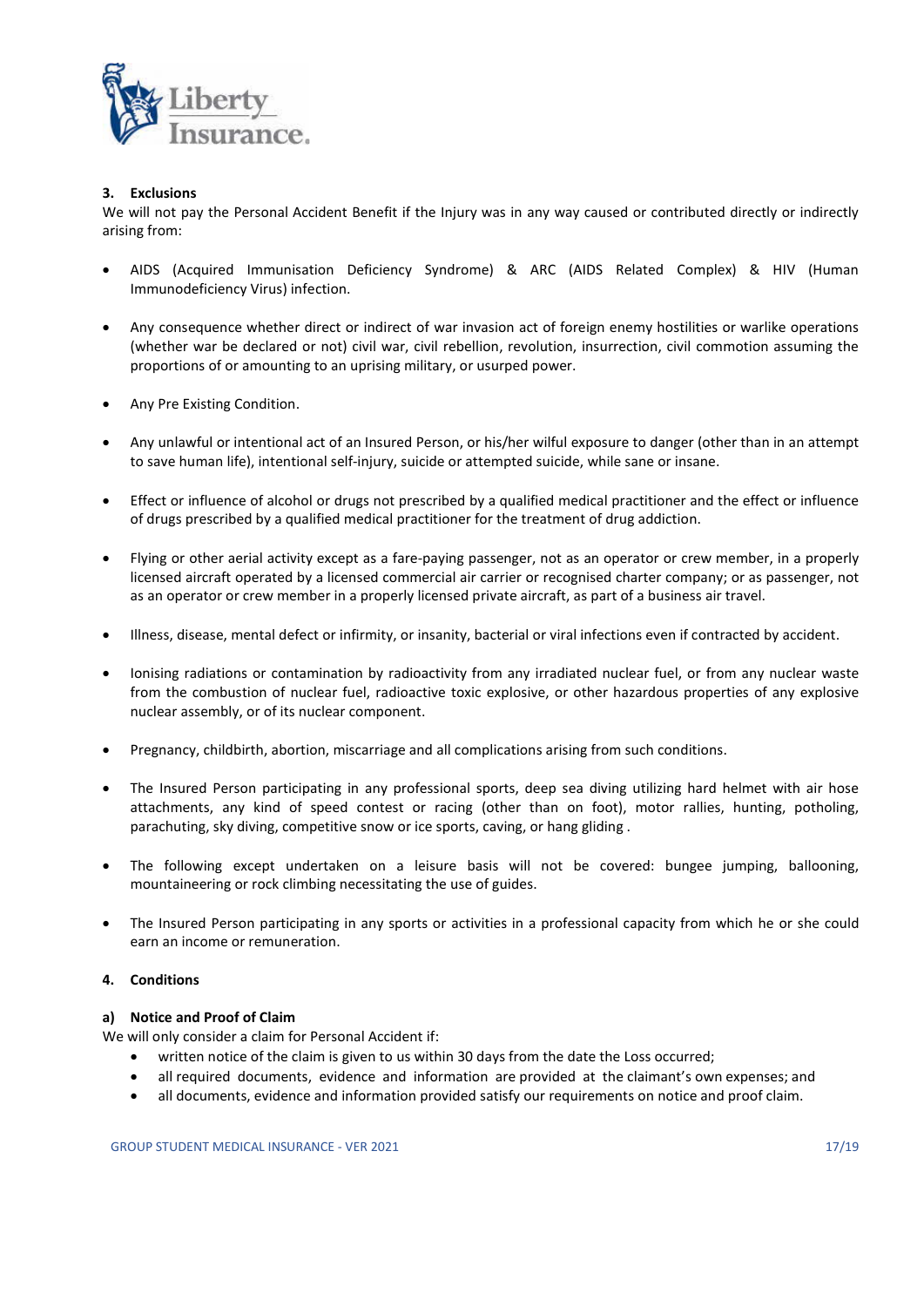

## 3. Exclusions

We will not pay the Personal Accident Benefit if the Injury was in any way caused or contributed directly or indirectly arising from:

- AIDS (Acquired Immunisation Deficiency Syndrome) & ARC (AIDS Related Complex) & HIV (Human Immunodeficiency Virus) infection.
- Any consequence whether direct or indirect of war invasion act of foreign enemy hostilities or warlike operations (whether war be declared or not) civil war, civil rebellion, revolution, insurrection, civil commotion assuming the proportions of or amounting to an uprising military, or usurped power.
- Any Pre Existing Condition.
- Any unlawful or intentional act of an Insured Person, or his/her wilful exposure to danger (other than in an attempt to save human life), intentional self-injury, suicide or attempted suicide, while sane or insane.
- Effect or influence of alcohol or drugs not prescribed by a qualified medical practitioner and the effect or influence of drugs prescribed by a qualified medical practitioner for the treatment of drug addiction.
- Flying or other aerial activity except as a fare-paying passenger, not as an operator or crew member, in a properly licensed aircraft operated by a licensed commercial air carrier or recognised charter company; or as passenger, not as an operator or crew member in a properly licensed private aircraft, as part of a business air travel.
- Illness, disease, mental defect or infirmity, or insanity, bacterial or viral infections even if contracted by accident.
- Ionising radiations or contamination by radioactivity from any irradiated nuclear fuel, or from any nuclear waste from the combustion of nuclear fuel, radioactive toxic explosive, or other hazardous properties of any explosive nuclear assembly, or of its nuclear component.
- Pregnancy, childbirth, abortion, miscarriage and all complications arising from such conditions.
- The Insured Person participating in any professional sports, deep sea diving utilizing hard helmet with air hose attachments, any kind of speed contest or racing (other than on foot), motor rallies, hunting, potholing, parachuting, sky diving, competitive snow or ice sports, caving, or hang gliding .
- The following except undertaken on a leisure basis will not be covered: bungee jumping, ballooning, mountaineering or rock climbing necessitating the use of guides.
- The Insured Person participating in any sports or activities in a professional capacity from which he or she could earn an income or remuneration.

## 4. Conditions

#### a) Notice and Proof of Claim

We will only consider a claim for Personal Accident if:

- written notice of the claim is given to us within 30 days from the date the Loss occurred;
- all required documents, evidence and information are provided at the claimant's own expenses; and
- all documents, evidence and information provided satisfy our requirements on notice and proof claim.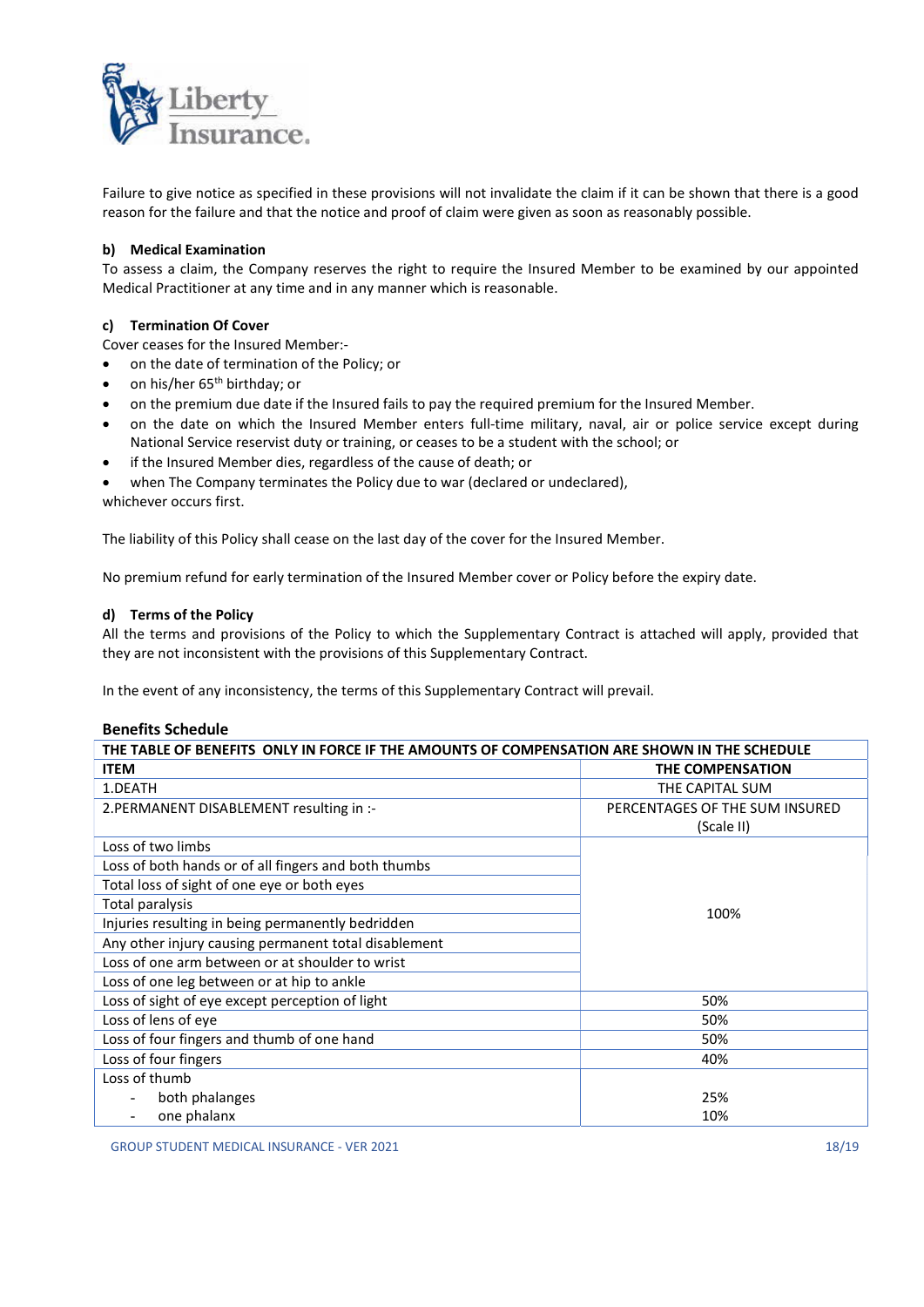

Failure to give notice as specified in these provisions will not invalidate the claim if it can be shown that there is a good reason for the failure and that the notice and proof of claim were given as soon as reasonably possible.

## b) Medical Examination

To assess a claim, the Company reserves the right to require the Insured Member to be examined by our appointed Medical Practitioner at any time and in any manner which is reasonable.

## c) Termination Of Cover

Cover ceases for the Insured Member:-

- on the date of termination of the Policy; or
- on his/her 65<sup>th</sup> birthday; or
- on the premium due date if the Insured fails to pay the required premium for the Insured Member.
- on the date on which the Insured Member enters full-time military, naval, air or police service except during National Service reservist duty or training, or ceases to be a student with the school; or
- if the Insured Member dies, regardless of the cause of death; or
- when The Company terminates the Policy due to war (declared or undeclared),

whichever occurs first.

The liability of this Policy shall cease on the last day of the cover for the Insured Member.

No premium refund for early termination of the Insured Member cover or Policy before the expiry date.

## d) Terms of the Policy

All the terms and provisions of the Policy to which the Supplementary Contract is attached will apply, provided that they are not inconsistent with the provisions of this Supplementary Contract.

In the event of any inconsistency, the terms of this Supplementary Contract will prevail.

## Benefits Schedule

| THE TABLE OF BENEFITS ONLY IN FORCE IF THE AMOUNTS OF COMPENSATION ARE SHOWN IN THE SCHEDULE |                                |  |  |
|----------------------------------------------------------------------------------------------|--------------------------------|--|--|
| <b>ITEM</b>                                                                                  | <b>THE COMPENSATION</b>        |  |  |
| 1.DEATH                                                                                      | THE CAPITAL SUM                |  |  |
| 2. PERMANENT DISABLEMENT resulting in :-                                                     | PERCENTAGES OF THE SUM INSURED |  |  |
|                                                                                              | (Scale II)                     |  |  |
| Loss of two limbs                                                                            |                                |  |  |
| Loss of both hands or of all fingers and both thumbs                                         |                                |  |  |
| Total loss of sight of one eye or both eyes                                                  |                                |  |  |
| Total paralysis                                                                              | 100%                           |  |  |
| Injuries resulting in being permanently bedridden                                            |                                |  |  |
| Any other injury causing permanent total disablement                                         |                                |  |  |
| Loss of one arm between or at shoulder to wrist                                              |                                |  |  |
| Loss of one leg between or at hip to ankle                                                   |                                |  |  |
| Loss of sight of eye except perception of light                                              | 50%                            |  |  |
| Loss of lens of eye                                                                          | 50%                            |  |  |
| Loss of four fingers and thumb of one hand                                                   | 50%                            |  |  |
| Loss of four fingers                                                                         | 40%                            |  |  |
| Loss of thumb                                                                                |                                |  |  |
| both phalanges                                                                               | 25%                            |  |  |
| one phalanx                                                                                  | 10%                            |  |  |

GROUP STUDENT MEDICAL INSURANCE - VER 2021 18/19 18: 18/19